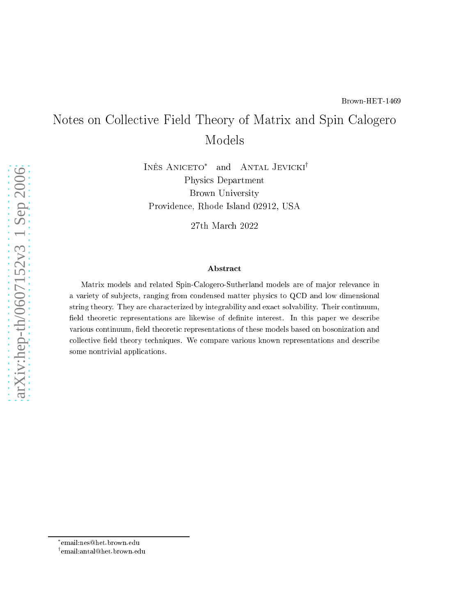# Notes on Colle
tive Field Theory of Matrix and Spin Calogero Models

INÊS ANICETO<sup>\*</sup> and ANTAL JEVICKI<sup>†</sup> Physi
s Department Brown University Providen
e, Rhode Island 02912, USA

27th Mar
h 2022

#### **Abstract**

Matrix models and related Spin-Calogero-Sutherland models are of major relevance in a variety of subjects, ranging from condensed matter physics to QCD and low dimensional string theory. They are characterized by integrability and exact solvability. Their continuum, field theoretic representations are likewise of definite interest. In this paper we describe various continuum, field theoretic representations of these models based on bosonization and collective field theory techniques. We compare various known representations and describe some nontrivial appli
ations.

[arXiv:hep-th/0607152v3 1 Sep 2006](http://arxiv.org/abs/hep-th/0607152v3)

arXiv:hep-th/0607152v3 1 Sep 2006

<sup>\*</sup>email:nes@het.brown.edu

 $^\dagger$ email:antal@het.brown.edu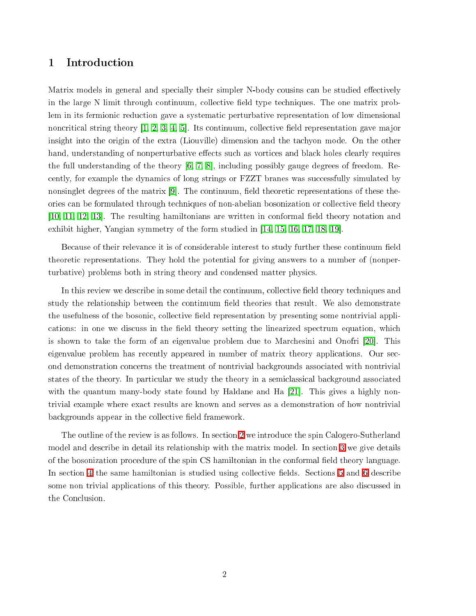## 1 Introdu
tion

Matrix models in general and specially their simpler N-body cousins can be studied effectively in the large N limit through continuum, collective field type techniques. The one matrix problem in its fermionic reduction gave a systematic perturbative representation of low dimensional noncritical string theory [\[1,](#page-31-0) [2,](#page-31-1) [3,](#page-31-2) [4,](#page-31-3) 5]. Its continuum, collective field representation gave major insight into the origin of the extra (Liouville) dimension and the tachyon mode. On the other hand, understanding of nonperturbative effects such as vortices and black holes clearly requires the full understanding of the theory  $[6, 7, 8]$  $[6, 7, 8]$  $[6, 7, 8]$  $[6, 7, 8]$ , including possibly gauge degrees of freedom. Recently, for example the dynamics of long strings or FZZT branes was successfully simulated by nonsinglet degrees of the matrix  $[9]$ . The continuum, field theoretic representations of these theories can be formulated through techniques of non-abelian bosonization or collective field theory  $[10, 11, 12, 13]$  $[10, 11, 12, 13]$  $[10, 11, 12, 13]$  $[10, 11, 12, 13]$  $[10, 11, 12, 13]$  $[10, 11, 12, 13]$ . The resulting hamiltonians are written in conformal field theory notation and exhibit higher, Yangian symmetry of the form studied in  $[14, 15, 16, 17, 18, 19]$  $[14, 15, 16, 17, 18, 19]$  $[14, 15, 16, 17, 18, 19]$  $[14, 15, 16, 17, 18, 19]$  $[14, 15, 16, 17, 18, 19]$  $[14, 15, 16, 17, 18, 19]$  $[14, 15, 16, 17, 18, 19]$  $[14, 15, 16, 17, 18, 19]$  $[14, 15, 16, 17, 18, 19]$  $[14, 15, 16, 17, 18, 19]$ .

Because of their relevance it is of considerable interest to study further these continuum field theoretic representations. They hold the potential for giving answers to a number of (nonperturbative) problems both in string theory and ondensed matter physi
s.

In this review we describe in some detail the continuum, collective field theory techniques and study the relationship between the continuum field theories that result. We also demonstrate the usefulness of the bosonic, collective field representation by presenting some nontrivial applications: in one we discuss in the field theory setting the linearized spectrum equation, which is shown to take the form of an eigenvalue problem due to Marchesini and Onofri  $[20]$ . This eigenvalue problem has recently appeared in number of matrix theory applications. Our second demonstration on
erns the treatment of nontrivial ba
kgrounds asso
iated with nontrivial states of the theory. In particular we study the theory in a semiclassical background associated with the quantum many-body state found by Haldane and Ha  $[21]$ . This gives a highly nontrivial example where exa
t results are known and serves as a demonstration of how nontrivial backgrounds appear in the collective field framework.

The outline of the review is as follows. In se
tion [2](#page-2-0) we introdu
e the spin Calogero-Sutherland model and describe in detail its relationship with the matrix model. In section [3](#page-5-0) we give details of the bosonization procedure of the spin CS hamiltonian in the conformal field theory language. In section [4](#page-14-0) the same hamiltonian is studied using collective fields. Sections [5](#page-20-0) and [6](#page-26-0) describe some non trivial applications of this theory. Possible, further applications are also discussed in the Con
lusion.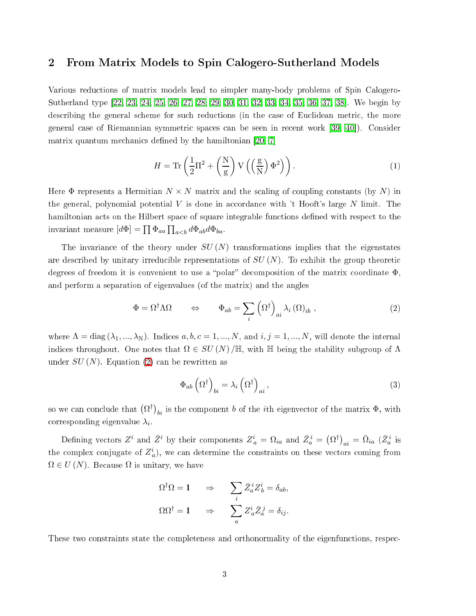## <span id="page-2-0"></span>2 From Matrix Models to Spin Calogero-Sutherland Models

Various redu
tions of matrix models lead to simpler many-body problems of Spin Calogero-Sutherland type [\[22,](#page-33-2) [23,](#page-33-3) [24,](#page-33-4) [25,](#page-33-5) [26,](#page-33-6) [27,](#page-33-7) [28,](#page-33-8) [29,](#page-33-9) [30,](#page-33-10) [31,](#page-33-11) [32,](#page-33-12) [33,](#page-33-13) [34,](#page-33-14) [35,](#page-33-15) [36,](#page-34-0) [37,](#page-34-1) 38]. We begin by describing the general scheme for such reductions (in the case of Euclidean metric, the more general case of Riemannian symmetric spaces can be seen in recent work [\[39,](#page-34-3) 40]). Consider matrix quantum mechanics defined by the hamiltonian [\[20,](#page-33-0) 7]

$$
H = \text{Tr}\left(\frac{1}{2}\Pi^2 + \left(\frac{N}{g}\right)V\left(\left(\frac{g}{N}\right)\Phi^2\right)\right). \tag{1}
$$

Here  $\Phi$  represents a Hermitian  $N \times N$  matrix and the scaling of coupling constants (by N) in the general, polynomial potential V is done in accordance with  $\tau$  Hooft's large N limit. The hamiltonian acts on the Hilbert space of square integrable functions defined with respect to the invariant measure  $[d\Phi] = \prod \Phi_{aa} \prod_{a.$ 

The invariance of the theory under  $SU(N)$  transformations implies that the eigenstates are described by unitary irreducible representations of  $SU(N)$ . To exhibit the group theoretic degrees of freedom it is convenient to use a "polar" decomposition of the matrix coordinate  $\Phi$ . and perform a separation of eigenvalues (of the matrix) and the angles

<span id="page-2-1"></span>
$$
\Phi = \Omega^{\dagger} \Lambda \Omega \qquad \Leftrightarrow \qquad \Phi_{ab} = \sum_{i} \left( \Omega^{\dagger} \right)_{ai} \lambda_{i} \left( \Omega \right)_{ib} , \qquad (2)
$$

where  $\Lambda = \text{diag}(\lambda_1, ..., \lambda_N)$ . Indices  $a, b, c = 1, ..., N$ , and  $i, j = 1, ..., N$ , will denote the internal indices throughout. One notes that  $\Omega \in SU(N)/\mathbb{H}$ , with  $\mathbb H$  being the stability subgroup of  $\Lambda$ under  $SU(N)$ . Equation [\(2\)](#page-2-1) can be rewritten as

$$
\Phi_{ab} \left( \Omega^{\dagger} \right)_{bi} = \lambda_i \left( \Omega^{\dagger} \right)_{ai}, \tag{3}
$$

so we can conclude that  $(\Omega^\dagger)_{bi}$  is the component  $b$  of the  $i$ th eigenvector of the matrix  $\Phi$ , with corresponding eigenvalue  $\lambda_i.$ 

Defining vectors  $Z^i$  and  $\bar{Z}^i$  by their components  $Z^i_a = \Omega_{ia}$  and  $\bar{Z}^i_a = (\Omega^{\dagger})_{ai} = \bar{\Omega}_{ia}$  ( $\bar{Z}^i_a$  is the complex conjugate of  $Z_a^i$ ), we can determine the constraints on these vectors coming from  $\Omega \in U(N)$ . Because  $\Omega$  is unitary, we have

$$
\Omega^{\dagger} \Omega = 1 \quad \Rightarrow \quad \sum_{i} \bar{Z}_{a}^{i} Z_{b}^{i} = \delta_{ab},
$$

$$
\Omega \Omega^{\dagger} = 1 \quad \Rightarrow \quad \sum_{a} Z_{a}^{i} \bar{Z}_{a}^{j} = \delta_{ij}.
$$

These two constraints state the completeness and orthonormality of the eigenfunctions, respec-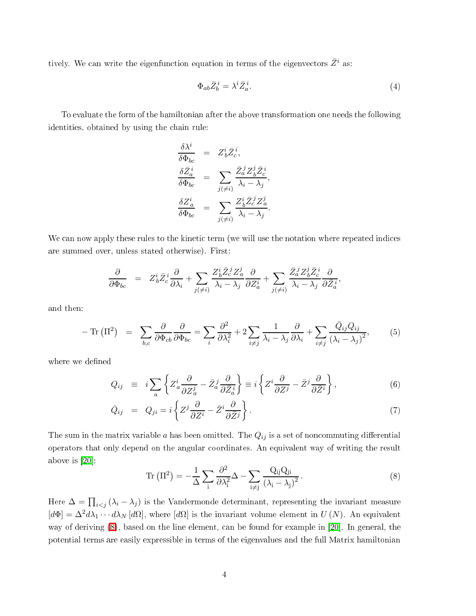tively. We can write the eigenfunction equation in terms of the eigenvectors  $\bar{Z}^i$  as:

$$
\Phi_{ab}\bar{Z}_b^i = \lambda^i \bar{Z}_a^i. \tag{4}
$$

To evaluate the form of the hamiltonian after the above transformation one needs the following identities, obtained by using the hain rule:

$$
\begin{array}{rcl}\n\frac{\delta\lambda^i}{\delta\Phi_{bc}} & = & Z^i_b \bar{Z}^i_c, \\
\frac{\delta\bar{Z}^i_a}{\delta\Phi_{bc}} & = & \sum_{j(\neq i)} \frac{\bar{Z}^j_a Z^j_b \bar{Z}^i_c}{\lambda_i - \lambda_j}, \\
\frac{\delta Z^i_a}{\delta\Phi_{bc}} & = & \sum_{j(\neq i)} \frac{Z^i_b \bar{Z}^j_c Z^j_a}{\lambda_i - \lambda_j}.\n\end{array}
$$

We can now apply these rules to the kinetic term (we will use the notation where repeated indices are summed over, unless stated otherwise). First:

$$
\frac{\partial}{\partial \Phi_{bc}} = Z^i_b \bar{Z}^i_c \frac{\partial}{\partial \lambda_i} + \sum_{j(\neq i)} \frac{Z^i_b \bar{Z}^j_c Z^j_a}{\lambda_i - \lambda_j} \frac{\partial}{\partial Z^i_a} + \sum_{j(\neq i)} \frac{\bar{Z}^j_a Z^j_b \bar{Z}^i_c}{\lambda_i - \lambda_j} \frac{\partial}{\partial \bar{Z}^i_a},
$$

and then:

$$
-\operatorname{Tr}\left(\Pi^{2}\right) = \sum_{b,c} \frac{\partial}{\partial \Phi_{cb}} \frac{\partial}{\partial \Phi_{bc}} = \sum_{i} \frac{\partial^{2}}{\partial \lambda_{i}^{2}} + 2 \sum_{i \neq j} \frac{1}{\lambda_{i} - \lambda_{j}} \frac{\partial}{\partial \lambda_{i}} + \sum_{i \neq j} \frac{\bar{Q}_{ij} Q_{ij}}{\left(\lambda_{i} - \lambda_{j}\right)^{2}},\tag{5}
$$

where we defined

$$
Q_{ij} \equiv i \sum_{a} \left\{ Z_{a}^{i} \frac{\partial}{\partial Z_{a}^{j}} - \bar{Z}_{a}^{j} \frac{\partial}{\partial \bar{Z}_{a}^{i}} \right\} \equiv i \left\{ Z^{i} \frac{\partial}{\partial Z^{j}} - \bar{Z}^{j} \frac{\partial}{\partial \bar{Z}^{i}} \right\},
$$
(6)

$$
\bar{Q}_{ij} = Q_{ji} = i \left\{ Z^j \frac{\partial}{\partial Z^i} - \bar{Z}^i \frac{\partial}{\partial \bar{Z}^j} \right\}.
$$
\n(7)

<span id="page-3-0"></span>The sum in the matrix variable a has been omitted. The  $Q_{ij}$  is a set of noncommuting differential operators that only depend on the angular oordinates. An equivalent way of writing the result above is  $[20]$ :

$$
\operatorname{Tr}\left(\Pi^{2}\right) = -\frac{1}{\Delta} \sum_{i} \frac{\partial^{2}}{\partial \lambda_{i}^{2}} \Delta - \sum_{i \neq j} \frac{Q_{ij} Q_{ji}}{\left(\lambda_{i} - \lambda_{j}\right)^{2}}.
$$
\n(8)

Here  $\Delta = \prod_{i < j} (\lambda_i - \lambda_j)$  is the Vandermonde determinant, representing the invariant measure  $[d\Phi] = \Delta^2 d\lambda_1 \cdots d\lambda_N [d\Omega]$ , where  $[d\Omega]$  is the invariant volume element in  $U(N)$ . An equivalent way of deriving  $(8)$ , based on the line element, can be found for example in [20]. In general, the potential terms are easily expressible in terms of the eigenvalues and the full Matrix hamiltonian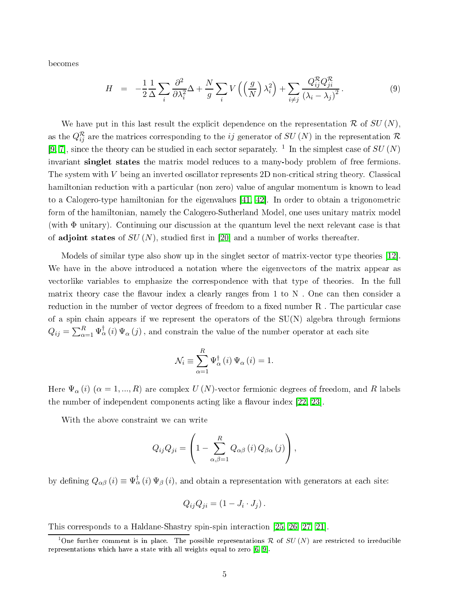be
omes

$$
H = -\frac{1}{2} \frac{1}{\Delta} \sum_{i} \frac{\partial^2}{\partial \lambda_i^2} \Delta + \frac{N}{g} \sum_{i} V\left(\left(\frac{g}{N}\right) \lambda_i^2\right) + \sum_{i \neq j} \frac{Q_{ij}^R Q_{ji}^R}{\left(\lambda_i - \lambda_j\right)^2}.
$$
 (9)

We have put in this last result the explicit dependence on the representation  $\mathcal R$  of  $SU(N)$ , as the  $Q_{ij}^{\mathcal{R}}$  are the matrices corresponding to the  $ij$  generator of  $SU\left(N\right)$  in the representation  ${\mathcal{R}}$ [\[9,](#page-32-4) 7], since the theory can be studied in each sector separately. <sup>1</sup> In the simplest case of  $SU(N)$ invariant singlet states the matrix model reduces to a many-body problem of free fermions. The system with  $V$  being an inverted oscillator represents  $2D$  non-critical string theory. Classical hamiltonian reduction with a particular (non zero) value of angular momentum is known to lead to a Calogero-type hamiltonian for the eigenvalues  $[41, 42]$  $[41, 42]$ . In order to obtain a trigonometric form of the hamiltonian, namely the Calogero-Sutherland Model, one uses unitary matrix model (with Φ unitary). Continuing our discussion at the quantum level the next relevant case is that of adjoint states of  $SU(N)$ , studied first in [20] and a number of works thereafter.

Models of similar type also show up in the singlet sector of matrix-vector type theories [12]. We have in the above introduced a notation where the eigenvectors of the matrix appear as vectorlike variables to emphasize the correspondence with that type of theories. In the full matrix theory case the flavour index a clearly ranges from 1 to  $N$ . One can then consider a reduction in the number of vector degrees of freedom to a fixed number R. The particular case of a spin chain appears if we represent the operators of the  $SU(N)$  algebra through fermions  $Q_{ij} = \sum_{\alpha=1}^R \Psi^{\dagger}_\alpha(i) \Psi_\alpha(j)$  , and constrain the value of the number operator at each site

$$
\mathcal{N}_{i} \equiv \sum_{\alpha=1}^{R} \Psi_{\alpha}^{\dagger} (i) \Psi_{\alpha} (i) = 1.
$$

Here  $\Psi_{\alpha}(i)$   $(\alpha = 1, ..., R)$  are complex  $U(N)$ -vector fermionic degrees of freedom, and R labels the number of independent components acting like a flavour index  $[22, 23]$  $[22, 23]$ .

With the above onstraint we an write

$$
Q_{ij}Q_{ji} = \left(1 - \sum_{\alpha,\beta=1}^{R} Q_{\alpha\beta} (i) Q_{\beta\alpha} (j)\right),
$$

by defining  $Q_{\alpha\beta}(i) \equiv \Psi_{\alpha}^{\dagger}(i) \Psi_{\beta}(i)$ , and obtain a representation with generators at each site:

$$
Q_{ij}Q_{ji}=(1-J_i\cdot J_j).
$$

This corresponds to a Haldane-Shastry spin-spin interaction [\[25,](#page-33-5) [26,](#page-33-6) [27,](#page-33-7) 21].

<sup>&</sup>lt;sup>1</sup>One further comment is in place. The possible representations R of SU(N) are restricted to irreducible representations which have a state with all weights equal to zero  $[6, 9]$  $[6, 9]$ .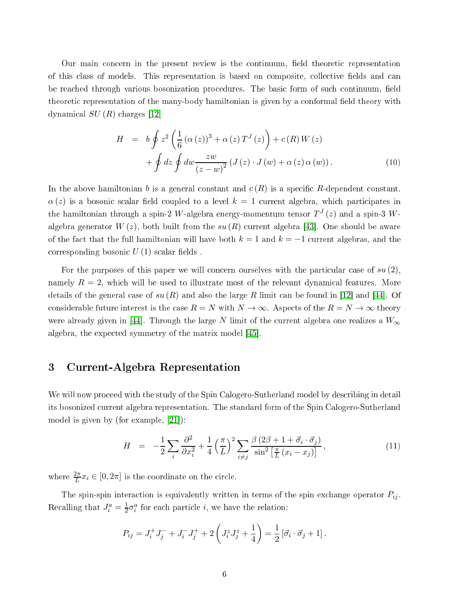Our main concern in the present review is the continuum, field theoretic representation of this class of models. This representation is based on composite, collective fields and can be reached through various bosonization procedures. The basic form of such continuum, field theoretic representation of the many-body hamiltonian is given by a conformal field theory with dynamical  $SU(R)$  charges [12]

$$
H = b \oint z^{2} \left( \frac{1}{6} (\alpha(z))^{3} + \alpha(z) T^{J}(z) \right) + c(R) W(z)
$$

$$
+ \oint dz \oint dw \frac{zw}{(z-w)^{2}} (J(z) \cdot J(w) + \alpha(z) \alpha(w)). \tag{10}
$$

<span id="page-5-2"></span>In the above hamiltonian b is a general constant and  $c(R)$  is a specific R-dependent constant.  $\alpha(z)$  is a bosonic scalar field coupled to a level  $k = 1$  current algebra, which participates in the hamiltonian through a spin-2  $W$ -algebra energy-momentum tensor  $T^{J}\left( z\right)$  and a spin-3  $W$ algebra generator  $W(z)$ , both built from the su  $(R)$  current algebra [43]. One should be aware of the fact that the full hamiltonian will have both  $k = 1$  and  $k = -1$  current algebras, and the corresponding bosonic  $U(1)$  scalar fields.

For the purposes of this paper we will concern ourselves with the particular case of  $su(2)$ , namely  $R = 2$ , which will be used to illustrate most of the relevant dynamical features. More details of the general case of  $su(R)$  and also the large R limit can be found in [12] and [44]. Of considerable future interest is the case  $R = N$  with  $N \to \infty$ . Aspects of the  $R = N \to \infty$  theory were already given in [44]. Through the large N limit of the current algebra one realizes a  $W_{\infty}$ algebra, the expected symmetry of the matrix model [45].

## <span id="page-5-0"></span>3 Current-Algebra Representation

We will now proceed with the study of the Spin Calogero-Sutherland model by describing in detail its bosonized urrent algebra representation. The standard form of the Spin Calogero-Sutherland model is given by (for example,  $[21]$ ):

$$
H = -\frac{1}{2} \sum_{i} \frac{\partial^2}{\partial x_i^2} + \frac{1}{4} \left(\frac{\pi}{L}\right)^2 \sum_{i \neq j} \frac{\beta (2\beta + 1 + \vec{\sigma}_i \cdot \vec{\sigma}_j)}{\sin^2 \left[\frac{\pi}{L} (x_i - x_j)\right]},
$$
(11)

<span id="page-5-1"></span>where  $\frac{2\pi}{L}x_i \in [0, 2\pi]$  is the coordinate on the circle.

The spin-spin interaction is equivalently written in terms of the spin exchange operator  $P_{ij}$ . Recalling that  $J_i^a = \frac{1}{2} \sigma_i^a$  for each particle *i*, we have the relation:

$$
P_{ij} = J_i^+ J_j^- + J_i^- J_j^+ + 2 \left( J_i^z J_j^z + \frac{1}{4} \right) = \frac{1}{2} \left[ \vec{\sigma}_i \cdot \vec{\sigma}_j + 1 \right].
$$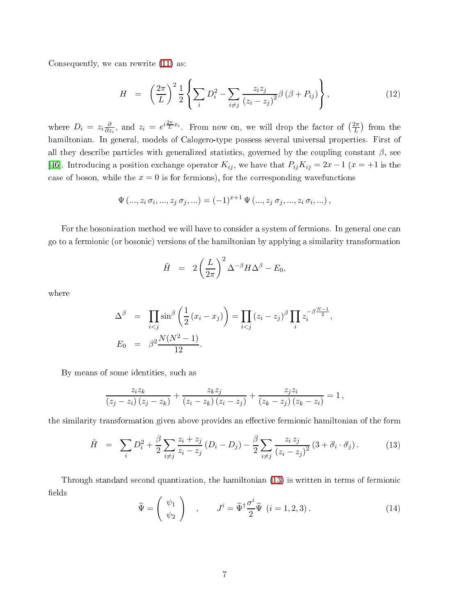<span id="page-6-1"></span>Consequently, we can rewrite  $(11)$  as:

$$
H = \left(\frac{2\pi}{L}\right)^2 \frac{1}{2} \left\{ \sum_i D_i^2 - \sum_{i \neq j} \frac{z_i z_j}{(z_i - z_j)^2} \beta \left(\beta + P_{ij}\right) \right\},\tag{12}
$$

where  $D_i = z_i \frac{\partial}{\partial z_i}$  $\frac{\partial}{\partial z_i}$ , and  $z_i = e^{i\frac{2\pi}{L}x_i}$ . From now on, we will drop the factor of  $\left(\frac{2\pi}{L}\right)$  from the hamiltonian. In general, models of Calogero-type possess several universal properties. First of all they describe particles with generalized statistics, governed by the coupling constant  $\beta$ , see [46]. Introducing a position exchange operator  $K_{ij}$ , we have that  $P_{ij}K_{ij} = 2x-1$  ( $x = +1$  is the case of boson, while the  $x = 0$  is for fermions), for the corresponding wavefunctions

$$
\Psi(..., z_i \sigma_i,..., z_j \sigma_j,...) = (-1)^{x+1} \Psi(..., z_j \sigma_j,..., z_i \sigma_i,...),
$$

For the bosonization method we will have to consider a system of fermions. In general one can go to a fermioni (or bosoni
) versions of the hamiltonian by applying a similarity transformation

$$
\tilde{H} = 2 \left( \frac{L}{2\pi} \right)^2 \Delta^{-\beta} H \Delta^{\beta} - E_0,
$$

where

$$
\Delta^{\beta} = \prod_{i < j} \sin^{\beta} \left( \frac{1}{2} (x_i - x_j) \right) = \prod_{i < j} (z_i - z_j)^{\beta} \prod_i z_i^{-\beta \frac{N-1}{2}},
$$
\n
$$
E_0 = \beta^2 \frac{N(N^2 - 1)}{12}.
$$

By means of some identities, su
h as

$$
\frac{z_iz_k}{(z_j-z_i)(z_j-z_k)}+\frac{z_kz_j}{(z_i-z_k)(z_i-z_j)}+\frac{z_jz_i}{(z_k-z_j)(z_k-z_i)}=1,
$$

<span id="page-6-0"></span>the similarity transformation given above provides an effective fermionic hamiltonian of the form

$$
\tilde{H} = \sum_{i} D_i^2 + \frac{\beta}{2} \sum_{i \neq j} \frac{z_i + z_j}{z_i - z_j} (D_i - D_j) - \frac{\beta}{2} \sum_{i \neq j} \frac{z_i z_j}{(z_i - z_j)^2} (3 + \vec{\sigma}_i \cdot \vec{\sigma}_j).
$$
(13)

Through standard second quantization, the hamiltonian [\(13\)](#page-6-0) is written in terms of fermionic fields

$$
\widetilde{\Psi} = \begin{pmatrix} \psi_1 \\ \psi_2 \end{pmatrix} , \qquad J^i = \widetilde{\Psi}^\dagger \frac{\sigma^i}{2} \widetilde{\Psi} \ (i = 1, 2, 3) . \tag{14}
$$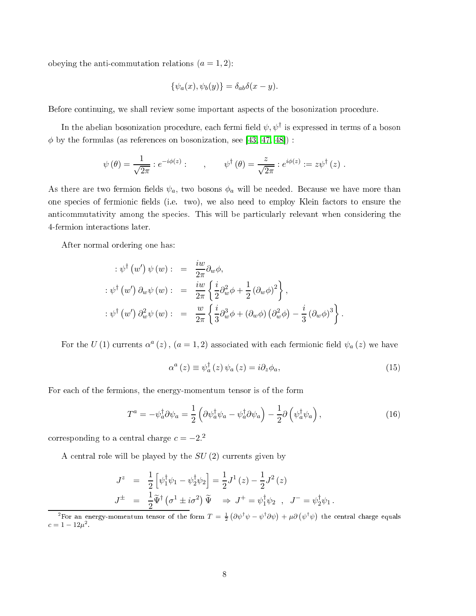obeying the anti-commutation relations  $(a = 1, 2)$ :

$$
\{\psi_a(x), \psi_b(y)\} = \delta_{ab}\delta(x - y).
$$

Before continuing, we shall review some important aspects of the bosonization procedure.

In the abelian bosonization procedure, each fermi field  $\psi, \psi^\dagger$  is expressed in terms of a boson  $\phi$  by the formulas (as references on bosonization, see [\[43,](#page-34-7) [47,](#page-34-11) 48]) :

$$
\psi(\theta) = \frac{1}{\sqrt{2\pi}} :e^{-i\phi(z)}: \qquad , \qquad \psi^{\dagger}(\theta) = \frac{z}{\sqrt{2\pi}} :e^{i\phi(z)} := z\psi^{\dagger}(z) .
$$

As there are two fermion fields  $\psi_a$ , two bosons  $\phi_a$  will be needed. Because we have more than one species of fermionic fields (i.e. two), we also need to employ Klein factors to ensure the anticommutativity among the species. This will be particularly relevant when considering the 4-fermion intera
tions later.

After normal ordering one has:

$$
\begin{array}{rcl}\n\therefore \psi^{\dagger} (w') \psi (w) : & = & \frac{i w}{2\pi} \partial_w \phi, \\
\therefore \psi^{\dagger} (w') \partial_w \psi (w) : & = & \frac{i w}{2\pi} \left\{ \frac{i}{2} \partial_w^2 \phi + \frac{1}{2} (\partial_w \phi)^2 \right\}, \\
\therefore \psi^{\dagger} (w') \partial_w^2 \psi (w) : & = & \frac{w}{2\pi} \left\{ \frac{i}{3} \partial_w^3 \phi + (\partial_w \phi) \left( \partial_w^2 \phi \right) - \frac{i}{3} (\partial_w \phi)^3 \right\}.\n\end{array}
$$

For the U(1) currents  $\alpha^a(z)$ ,  $(a=1,2)$  associated with each fermionic field  $\psi_a(z)$  we have

$$
\alpha^{a}(z) \equiv \psi_{a}^{\dagger}(z) \psi_{a}(z) = i\partial_{z}\phi_{a}, \qquad (15)
$$

For ea
h of the fermions, the energy-momentum tensor is of the form

$$
T^{a} = -\psi_{a}^{\dagger} \partial \psi_{a} = \frac{1}{2} \left( \partial \psi_{a}^{\dagger} \psi_{a} - \psi_{a}^{\dagger} \partial \psi_{a} \right) - \frac{1}{2} \partial \left( \psi_{a}^{\dagger} \psi_{a} \right), \tag{16}
$$

corresponding to a central charge  $c = -2$ .<sup>2</sup>

A entral role will be played by the SU (2) urrents given by

$$
J^{z} = \frac{1}{2} \left[ \psi_{1}^{\dagger} \psi_{1} - \psi_{2}^{\dagger} \psi_{2} \right] = \frac{1}{2} J^{1}(z) - \frac{1}{2} J^{2}(z)
$$
  

$$
J^{\pm} = \frac{1}{2} \widetilde{\Psi}^{\dagger} (\sigma^{1} \pm i \sigma^{2}) \widetilde{\Psi} \Rightarrow J^{+} = \psi_{1}^{\dagger} \psi_{2} , J^{-} = \psi_{2}^{\dagger} \psi_{1} .
$$

<sup>&</sup>lt;sup>2</sup>For an energy-momentum tensor of the form  $T = \frac{1}{2} \left( \partial \psi^{\dagger} \psi - \psi^{\dagger} \partial \psi \right) + \mu \partial \left( \psi^{\dagger} \psi \right)$  the central charge equals  $c = 1 - 12\mu^2$ .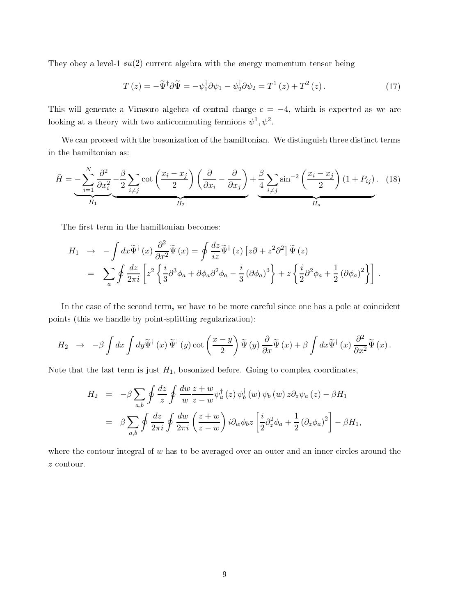They obey a level-1  $su(2)$  current algebra with the energy momentum tensor being

$$
T(z) = -\tilde{\Psi}^{\dagger} \partial \tilde{\Psi} = -\psi_1^{\dagger} \partial \psi_1 - \psi_2^{\dagger} \partial \psi_2 = T^1(z) + T^2(z). \qquad (17)
$$

This will generate a Virasoro algebra of central charge  $c = -4$ , which is expected as we are looking at a theory with two anticommuting fermions  $\psi^1, \psi^2$ .

We can proceed with the bosonization of the hamiltonian. We distinguish three distinct terms in the hamiltonian as:

$$
\tilde{H} = -\sum_{i=1}^{N} \frac{\partial^2}{\partial x_i^2} - \frac{\beta}{2} \sum_{i \neq j} \cot\left(\frac{x_i - x_j}{2}\right) \left(\frac{\partial}{\partial x_i} - \frac{\partial}{\partial x_j}\right) + \frac{\beta}{4} \sum_{i \neq j} \sin^{-2}\left(\frac{x_i - x_j}{2}\right) (1 + P_{ij}). \tag{18}
$$

The first term in the hamiltonian becomes:

$$
H_1 \rightarrow -\int dx \tilde{\Psi}^{\dagger}(x) \frac{\partial^2}{\partial x^2} \tilde{\Psi}(x) = \oint \frac{dz}{iz} \tilde{\Psi}^{\dagger}(z) \left[ z\partial + z^2 \partial^2 \right] \tilde{\Psi}(z)
$$
  
= 
$$
\sum_{a} \oint \frac{dz}{2\pi i} \left[ z^2 \left\{ \frac{i}{3} \partial^3 \phi_a + \partial \phi_a \partial^2 \phi_a - \frac{i}{3} (\partial \phi_a)^3 \right\} + z \left\{ \frac{i}{2} \partial^2 \phi_a + \frac{1}{2} (\partial \phi_a)^2 \right\} \right].
$$

In the case of the second term, we have to be more careful since one has a pole at coincident points (this we handle by point-splitting regularization):

$$
H_2 \rightarrow -\beta \int dx \int dy \widetilde{\Psi}^{\dagger}(x) \widetilde{\Psi}^{\dagger}(y) \cot \left(\frac{x-y}{2}\right) \widetilde{\Psi}(y) \frac{\partial}{\partial x} \widetilde{\Psi}(x) + \beta \int dx \widetilde{\Psi}^{\dagger}(x) \frac{\partial^2}{\partial x^2} \widetilde{\Psi}(x).
$$

Note that the last term is just  $H_1$ , bosonized before. Going to complex coordinates,

$$
H_2 = -\beta \sum_{a,b} \oint \frac{dz}{z} \oint \frac{dw}{w} \frac{z+w}{z-w} \psi_a^{\dagger}(z) \psi_b^{\dagger}(w) \psi_b(w) z \partial_z \psi_a(z) - \beta H_1
$$
  

$$
= \beta \sum_{a,b} \oint \frac{dz}{2\pi i} \oint \frac{dw}{2\pi i} \left( \frac{z+w}{z-w} \right) i \partial_w \phi_b z \left[ \frac{i}{2} \partial_z^2 \phi_a + \frac{1}{2} (\partial_z \phi_a)^2 \right] - \beta H_1,
$$

where the contour integral of  $w$  has to be averaged over an outer and an inner circles around the z contour.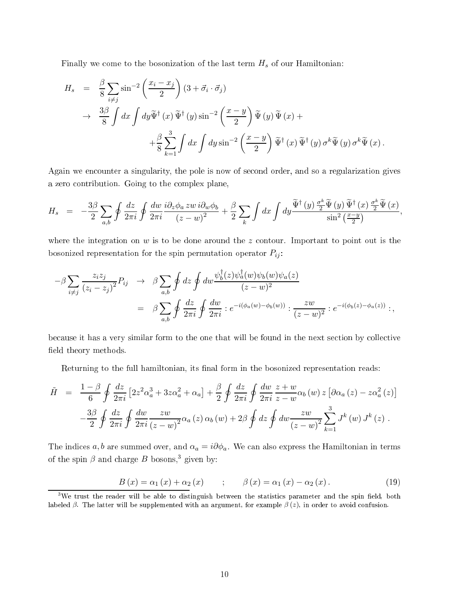Finally we come to the bosonization of the last term  $H_s$  of our Hamiltonian:

$$
H_s = \frac{\beta}{8} \sum_{i \neq j} \sin^{-2} \left( \frac{x_i - x_j}{2} \right) (3 + \vec{\sigma}_i \cdot \vec{\sigma}_j)
$$
  

$$
\rightarrow \frac{3\beta}{8} \int dx \int dy \tilde{\Psi}^{\dagger}(x) \tilde{\Psi}^{\dagger}(y) \sin^{-2} \left( \frac{x - y}{2} \right) \tilde{\Psi}(y) \tilde{\Psi}(x) +
$$
  

$$
+ \frac{\beta}{8} \sum_{k=1}^{3} \int dx \int dy \sin^{-2} \left( \frac{x - y}{2} \right) \tilde{\Psi}^{\dagger}(x) \tilde{\Psi}^{\dagger}(y) \sigma^k \tilde{\Psi}(y) \sigma^k \tilde{\Psi}(x).
$$

Again we en
ounter a singularity, the pole is now of se
ond order, and so a regularization gives a zero ontribution. Going to the omplex plane,

$$
H_s = -\frac{3\beta}{2} \sum_{a,b} \oint \frac{dz}{2\pi i} \oint \frac{dw}{2\pi i} \frac{i\partial_z \phi_a z w \, i\partial_w \phi_b}{(z-w)^2} + \frac{\beta}{2} \sum_k \int dx \int dy \frac{\widetilde{\Psi}^{\dagger}(y) \frac{\sigma^k}{2} \widetilde{\Psi}(y) \, \widetilde{\Psi}^{\dagger}(x) \frac{\sigma^k}{2} \widetilde{\Psi}(x)}{\sin^2\left(\frac{x-y}{2}\right)},
$$

where the integration on  $w$  is to be done around the  $z$  contour. Important to point out is the bosonized representation for the spin permutation operator  $P_{ij}$ :

$$
-\beta \sum_{i \neq j} \frac{z_i z_j}{(z_i - z_j)^2} P_{ij} \rightarrow \beta \sum_{a,b} \oint dz \oint dw \frac{\psi_b^{\dagger}(z) \psi_a^{\dagger}(w) \psi_b(w) \psi_a(z)}{(z - w)^2} = \beta \sum_{a,b} \oint \frac{dz}{2\pi i} \oint \frac{dw}{2\pi i} :e^{-i(\phi_a(w) - \phi_b(w))} : \frac{zw}{(z - w)^2} :e^{-i(\phi_b(z) - \phi_a(z))}:,
$$

because it has a very similar form to the one that will be found in the next section by collective field theory methods.

Returning to the full hamiltonian, its final form in the bosonized representation reads:

$$
\tilde{H} = \frac{1-\beta}{6} \oint \frac{dz}{2\pi i} \left[ 2z^2 \alpha_a^3 + 3z \alpha_a^2 + \alpha_a \right] + \frac{\beta}{2} \oint \frac{dz}{2\pi i} \oint \frac{dw}{2\pi i} \frac{z+w}{z-w} \alpha_b(w) z \left[ \partial \alpha_a(z) - z \alpha_a^2(z) \right]
$$

$$
- \frac{3\beta}{2} \oint \frac{dz}{2\pi i} \oint \frac{dw}{2\pi i} \frac{zw}{(z-w)^2} \alpha_a(z) \alpha_b(w) + 2\beta \oint dz \oint dw \frac{zw}{(z-w)^2} \sum_{k=1}^3 J^k(w) J^k(z) .
$$

The indices a, b are summed over, and  $\alpha_a = i \partial \phi_a$ . We can also express the Hamiltonian in terms of the spin  $\beta$  and charge  $B$  bosons,<sup>3</sup> given by:

$$
B(x) = \alpha_1(x) + \alpha_2(x) \qquad ; \qquad \beta(x) = \alpha_1(x) - \alpha_2(x). \tag{19}
$$

 $3$ We trust the reader will be able to distinguish between the statistics parameter and the spin field, both labeled  $\beta$ . The latter will be supplemented with an argument, for example  $\beta(z)$ , in order to avoid confusion.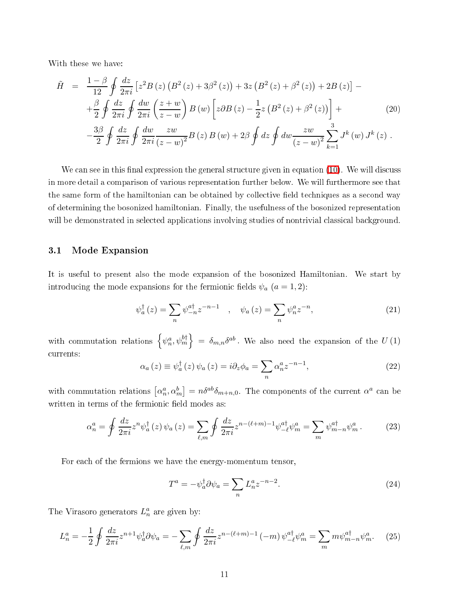<span id="page-10-0"></span>With these we have:

$$
\tilde{H} = \frac{1-\beta}{12} \oint \frac{dz}{2\pi i} \left[ z^2 B(z) \left( B^2(z) + 3\beta^2(z) \right) + 3z \left( B^2(z) + \beta^2(z) \right) + 2B(z) \right] -
$$
  
\n
$$
+ \frac{\beta}{2} \oint \frac{dz}{2\pi i} \oint \frac{dw}{2\pi i} \left( \frac{z+w}{z-w} \right) B(w) \left[ z \partial B(z) - \frac{1}{2} z \left( B^2(z) + \beta^2(z) \right) \right] +
$$
  
\n
$$
- \frac{3\beta}{2} \oint \frac{dz}{2\pi i} \oint \frac{dw}{2\pi i} \frac{zw}{(z-w)^2} B(z) B(w) + 2\beta \oint dz \oint dw \frac{zw}{(z-w)^2} \sum_{k=1}^3 J^k(w) J^k(z) .
$$
\n(20)

We can see in this final expression the general structure given in equation  $(10)$ . We will discuss in more detail a omparison of various representation further below. We will furthermore see that the same form of the hamiltonian can be obtained by collective field techniques as a second way of determining the bosonized hamiltonian. Finally, the usefulness of the bosonized representation will be demonstrated in selected applications involving studies of nontrivial classical background.

#### 3.1 Mode Expansion

It is useful to present also the mode expansion of the bosonized Hamiltonian. We start by introducing the mode expansions for the fermionic fields  $\psi_a$   $(a = 1, 2)$ :

$$
\psi_a^{\dagger}(z) = \sum_n \psi_{-n}^{a\dagger} z^{-n-1} \quad , \quad \psi_a(z) = \sum_n \psi_n^a z^{-n}, \tag{21}
$$

with commutation relations  $\{\psi_n^a, \psi_m^{b\dagger}\} = \delta_{m,n} \delta^{ab}$ . We also need the expansion of the  $U(1)$ urrents:

$$
\alpha_a(z) \equiv \psi_a^{\dagger}(z) \psi_a(z) = i \partial_z \phi_a = \sum_n \alpha_n^a z^{-n-1}, \qquad (22)
$$

with commutation relations  $\left[\alpha_n^a, \alpha_m^b\right] = n\delta^{ab}\delta_{m+n,0}$ . The components of the current  $\alpha^a$  can be written in terms of the fermionic field modes as:

$$
\alpha_n^a = \oint \frac{dz}{2\pi i} z^n \psi_a^\dagger(z) \psi_a(z) = \sum_{\ell,m} \oint \frac{dz}{2\pi i} z^{n-(\ell+m)-1} \psi_{-\ell}^{a\dagger} \psi_m^a = \sum_m \psi_{m-n}^{a\dagger} \psi_m^a. \tag{23}
$$

For each of the fermions we have the energy-momentum tensor.

$$
T^a = -\psi_a^{\dagger} \partial \psi_a = \sum_n L_n^a z^{-n-2}.
$$
\n(24)

The Virasoro generators  $L_n^a$  are given by:

$$
L_n^a = -\frac{1}{2} \oint \frac{dz}{2\pi i} z^{n+1} \psi_a^{\dagger} \partial \psi_a = -\sum_{\ell,m} \oint \frac{dz}{2\pi i} z^{n-(\ell+m)-1} (-m) \psi_{-\ell}^{a\dagger} \psi_m^a = \sum_m m \psi_{m-n}^{a\dagger} \psi_m^a. \tag{25}
$$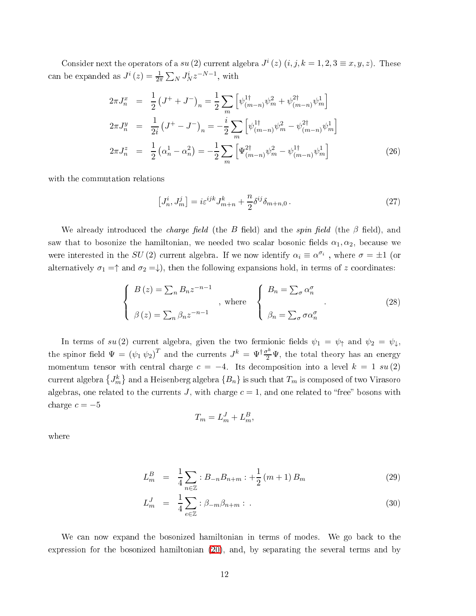Consider next the operators of a su (2) current algebra  $J^{i}(z)$   $(i, j, k = 1, 2, 3 \equiv x, y, z)$ . These can be expanded as  $J^i(z) = \frac{1}{2\pi} \sum_N J^i_N z^{-N-1}$ , with

$$
2\pi J_n^x = \frac{1}{2} \left( J^+ + J^- \right)_n = \frac{1}{2} \sum_m \left[ \psi_{(m-n)}^{1\dagger} \psi_m^2 + \psi_{(m-n)}^{2\dagger} \psi_m^1 \right]
$$
  
\n
$$
2\pi J_n^y = \frac{1}{2i} \left( J^+ - J^- \right)_n = -\frac{i}{2} \sum_m \left[ \psi_{(m-n)}^{1\dagger} \psi_m^2 - \psi_{(m-n)}^{2\dagger} \psi_m^1 \right]
$$
  
\n
$$
2\pi J_n^z = \frac{1}{2} \left( \alpha_n^1 - \alpha_n^2 \right) = -\frac{1}{2} \sum_m \left[ \Psi_{(m-n)}^{2\dagger} \psi_m^2 - \psi_{(m-n)}^{1\dagger} \psi_m^1 \right]
$$
 (26)

with the ommutation relations

<span id="page-11-0"></span>
$$
[J_n^i, J_m^j] = i\varepsilon^{ijk} J_{m+n}^k + \frac{n}{2} \delta^{ij} \delta_{m+n,0} \,. \tag{27}
$$

We already introduced the *charge field* (the B field) and the *spin field* (the  $\beta$  field), and saw that to bosonize the hamiltonian, we needed two scalar bosonic fields  $\alpha_1, \alpha_2$ , because we were interested in the  $SU(2)$  current algebra. If we now identify  $\alpha_i \equiv \alpha^{\sigma_i}$ , where  $\sigma = \pm 1$  (or alternatively  $\sigma_1 = \uparrow$  and  $\sigma_2 = \downarrow$ ), then the following expansions hold, in terms of z coordinates:

$$
\begin{cases}\nB(z) = \sum_{n} B_n z^{-n-1} \\
\beta(z) = \sum_{n} \beta_n z^{-n-1}\n\end{cases}, \text{ where }\n\begin{cases}\nB_n = \sum_{\sigma} \alpha_n^{\sigma} \\
\beta_n = \sum_{\sigma} \sigma \alpha_n^{\sigma}\n\end{cases}.
$$
\n(28)

In terms of  $su(2)$  current algebra, given the two fermionic fields  $\psi_1 = \psi_{\uparrow}$  and  $\psi_2 = \psi_{\downarrow}$ . the spinor field  $\Psi = (\psi_1 \ \psi_2)^T$  and the currents  $J^k = \Psi^\dagger \frac{\sigma^k}{2} \Psi$ , the total theory has an energy momentum tensor with central charge  $c = -4$ . Its decomposition into a level  $k = 1 \, su(2)$ current algebra  $\{J_m^k\}$  and a Heisenberg algebra  $\{B_n\}$  is such that  $T_m$  is composed of two Virasoro algebras, one related to the currents J, with charge  $c = 1$ , and one related to "free" bosons with charge  $c = -5$ 

$$
T_m = L_m^J + L_m^B,
$$

where

$$
L_m^B = \frac{1}{4} \sum_{n \in \mathbb{Z}} :B_{-n} B_{n+m} : + \frac{1}{2} (m+1) B_m \tag{29}
$$

$$
L_m^J = \frac{1}{4} \sum_{e \in \mathbb{Z}} : \beta_{-m} \beta_{n+m} : . \tag{30}
$$

We can now expand the bosonized hamiltonian in terms of modes. We go back to the expression for the bosonized hamiltonian [\(20\)](#page-10-0), and, by separating the several terms and by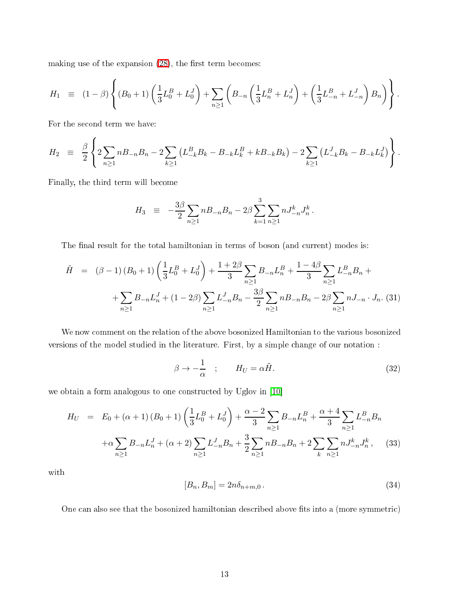making use of the expansion  $(28)$ , the first term becomes:

$$
H_1 = (1 - \beta) \left\{ (B_0 + 1) \left( \frac{1}{3} L_0^B + L_0^J \right) + \sum_{n \ge 1} \left( B_{-n} \left( \frac{1}{3} L_n^B + L_n^J \right) + \left( \frac{1}{3} L_{-n}^B + L_{-n}^J \right) B_n \right) \right\}.
$$

For the second term we have:

$$
H_2 = \frac{\beta}{2} \left\{ 2 \sum_{n \geq 1} n B_{-n} B_n - 2 \sum_{k \geq 1} \left( L_{-k}^B B_k - B_{-k} L_k^B + k B_{-k} B_k \right) - 2 \sum_{k \geq 1} \left( L_{-k}^J B_k - B_{-k} L_k^J \right) \right\}.
$$

Finally, the third term will be
ome

$$
H_3 \equiv -\frac{3\beta}{2} \sum_{n\geq 1} n B_{-n} B_n - 2\beta \sum_{k=1}^3 \sum_{n\geq 1} n J_{-n}^k J_n^k.
$$

<span id="page-12-1"></span>The final result for the total hamiltonian in terms of boson (and current) modes is:

$$
\tilde{H} = (\beta - 1)(B_0 + 1) \left(\frac{1}{3}L_0^B + L_0^J\right) + \frac{1 + 2\beta}{3} \sum_{n \ge 1} B_{-n}L_n^B + \frac{1 - 4\beta}{3} \sum_{n \ge 1} L_{-n}^B B_n + + \sum_{n \ge 1} B_{-n}L_n^J + (1 - 2\beta) \sum_{n \ge 1} L_{-n}^J B_n - \frac{3\beta}{2} \sum_{n \ge 1} n B_{-n}B_n - 2\beta \sum_{n \ge 1} n J_{-n} \cdot J_n. (31)
$$

We now omment on the relation of the above bosonized Hamiltonian to the various bosonized versions of the model studied in the literature. First, by a simple hange of our notation :

$$
\beta \to -\frac{1}{\alpha} \quad ; \qquad H_U = \alpha \tilde{H}.
$$
\n(32)

<span id="page-12-0"></span>we obtain a form analogous to one constructed by Uglov in  $\left[10\right]$ 

$$
H_U = E_0 + (\alpha + 1)(B_0 + 1) \left(\frac{1}{3} L_0^B + L_0^J\right) + \frac{\alpha - 2}{3} \sum_{n \ge 1} B_{-n} L_n^B + \frac{\alpha + 4}{3} \sum_{n \ge 1} L_{-n}^B B_n
$$
  
+  $\alpha \sum_{n \ge 1} B_{-n} L_n^J + (\alpha + 2) \sum_{n \ge 1} L_{-n}^J B_n + \frac{3}{2} \sum_{n \ge 1} n B_{-n} B_n + 2 \sum_k \sum_{n \ge 1} n J_{-n}^k J_n^k$ , (33)

with

$$
[B_n, B_m] = 2n\delta_{n+m,0}.
$$
\n
$$
(34)
$$

One can also see that the bosonized hamiltonian described above fits into a (more symmetric)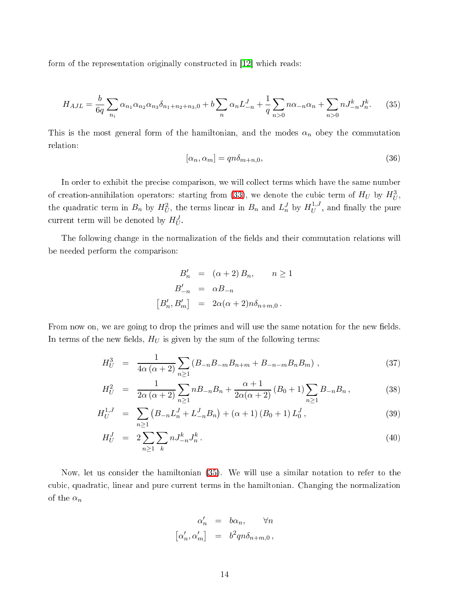<span id="page-13-0"></span>form of the representation originally constructed in  $[12]$  which reads:

$$
H_{A J L} = \frac{b}{6q} \sum_{n_i} \alpha_{n_1} \alpha_{n_2} \alpha_{n_3} \delta_{n_1 + n_2 + n_3, 0} + b \sum_{n} \alpha_n L_{-n}^J + \frac{1}{q} \sum_{n > 0} n \alpha_{-n} \alpha_n + \sum_{n > 0} n J_{-n}^k J_n^k. \tag{35}
$$

This is the most general form of the hamiltonian, and the modes  $\alpha_n$  obey the commutation relation:

$$
[\alpha_n, \alpha_m] = qn\delta_{m+n,0},\tag{36}
$$

In order to exhibit the precise comparison, we will collect terms which have the same number of creation-annihilation operators: starting from [\(33\)](#page-12-0), we denote the cubic term of  $H_U$  by  $H_U^3$ , the quadratic term in  $B_n$  by  $H_U^2$ , the terms linear in  $B_n$  and  $L_n^J$  by  $H_U^{1,J}$  $U$  , and many the pure current term will be denoted by  $H_U^J$ .

The following change in the normalization of the fields and their commutation relations will be needed perform the omparison:

$$
B'_{n} = (\alpha + 2) B_{n}, \qquad n \ge 1
$$
  

$$
B'_{-n} = \alpha B_{-n}
$$
  

$$
[B'_{n}, B'_{m}] = 2\alpha(\alpha + 2)n\delta_{n+m,0}.
$$

From now on, we are going to drop the primes and will use the same notation for the new fields. In terms of the new fields,  $H_U$  is given by the sum of the following terms:

$$
H_U^3 = \frac{1}{4\alpha(\alpha+2)} \sum_{n\geq 1} (B_{-n}B_{-m}B_{n+m} + B_{-n-m}B_nB_m) ,
$$
 (37)

$$
H_U^2 = \frac{1}{2\alpha(\alpha+2)} \sum_{n\geq 1} n B_{-n} B_n + \frac{\alpha+1}{2\alpha(\alpha+2)} (B_0+1) \sum_{n\geq 1} B_{-n} B_n, \qquad (38)
$$

$$
H_U^{1,J} = \sum_{n\geq 1} \left( B_{-n} L_n^J + L_{-n}^J B_n \right) + (\alpha + 1) \left( B_0 + 1 \right) L_0^J,
$$
\n(39)

$$
H_U^J = 2 \sum_{n \ge 1} \sum_k n J_{-n}^k J_n^k. \tag{40}
$$

Now, let us consider the hamiltonian [\(35\)](#page-13-0). We will use a similar notation to refer to the cubic, quadratic, linear and pure current terms in the hamiltonian. Changing the normalization of the  $\alpha_n$ 

$$
\begin{array}{rcl} \alpha'_n & = & b \alpha_n, \qquad \forall n \\ \left[ \alpha'_n, \alpha'_m \right] & = & b^2 q n \delta_{n+m,0} \, , \end{array}
$$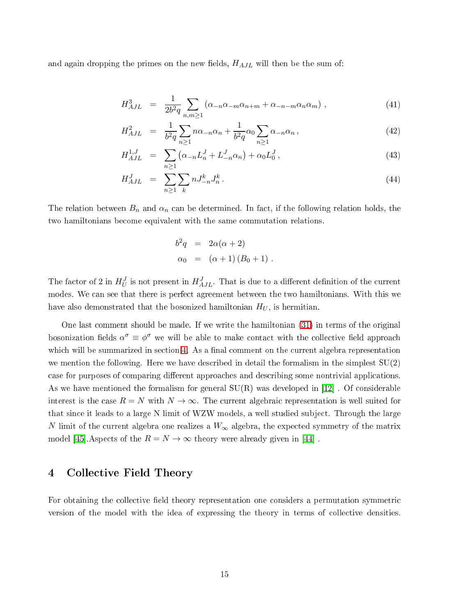and again dropping the primes on the new fields,  $H_{AJL}$  will then be the sum of:

$$
H_{AJL}^3 = \frac{1}{2b^2q} \sum_{n,m \ge 1} (\alpha_{-n} \alpha_{-m} \alpha_{n+m} + \alpha_{-n-m} \alpha_n \alpha_m) , \qquad (41)
$$

$$
H_{AJL}^2 = \frac{1}{b^2 q} \sum_{n \ge 1} n \alpha_{-n} \alpha_n + \frac{1}{b^2 q} \alpha_0 \sum_{n \ge 1} \alpha_{-n} \alpha_n, \qquad (42)
$$

$$
H_{AJL}^{1,J} = \sum_{n \ge 1} \left( \alpha_{-n} L_n^J + L_{-n}^J \alpha_n \right) + \alpha_0 L_0^J,
$$
\n(43)

$$
H_{AJL}^J = \sum_{n \ge 1} \sum_k n J_{-n}^k J_n^k. \tag{44}
$$

The relation between  $B_n$  and  $\alpha_n$  can be determined. In fact, if the following relation holds, the two hamiltonians be
ome equivalent with the same ommutation relations.

$$
b2q = 2\alpha(\alpha + 2)
$$
  
\n
$$
\alpha_0 = (\alpha + 1) (B_0 + 1).
$$

The factor of 2 in  $H_U^J$  is not present in  $H_{AJL}^J$ . That is due to a different definition of the current modes. We can see that there is perfect agreement between the two hamiltonians. With this we have also demonstrated that the bosonized hamiltonian  $H_U$ , is hermitian.

One last omment should be made. If we write the hamiltonian [\(31\)](#page-12-1) in terms of the original bosonization fields  $\alpha^{\sigma} \equiv \phi^{\sigma}$  we will be able to make contact with the collective field approach which will be summarized in section [4.](#page-14-0) As a final comment on the current algebra representation we mention the following. Here we have described in detail the formalism in the simplest  $SU(2)$ case for purposes of comparing different approaches and describing some nontrivial applications. As we have mentioned the formalism for general  $SU(R)$  was developed in [12]. Of considerable interest is the case  $R = N$  with  $N \to \infty$ . The current algebraic representation is well suited for that since it leads to a large N limit of WZW models, a well studied subject. Through the large N limit of the current algebra one realizes a  $W_{\infty}$  algebra, the expected symmetry of the matrix model [45]. Aspects of the  $R = N \rightarrow \infty$  theory were already given in [44].

## <span id="page-14-0"></span>4 Colle
tive Field Theory

For obtaining the collective field theory representation one considers a permutation symmetric version of the model with the idea of expressing the theory in terms of collective densities.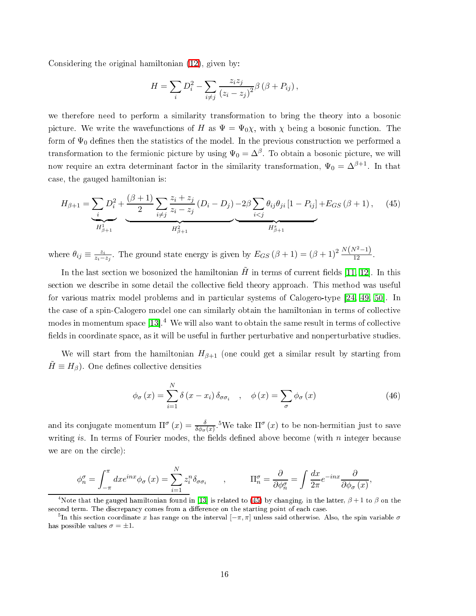Considering the original hamiltonian [\(12\)](#page-6-1), given by:

$$
H = \sum_{i} D_i^2 - \sum_{i \neq j} \frac{z_i z_j}{(z_i - z_j)^2} \beta (\beta + P_{ij}),
$$

we therefore need to perform a similarity transformation to bring the theory into a bosoni picture. We write the wavefunctions of H as  $\Psi = \Psi_{0}\chi$ , with  $\chi$  being a bosonic function. The form of  $\Psi_0$  defines then the statistics of the model. In the previous construction we performed a transformation to the fermionic picture by using  $\Psi_0 = \Delta^\beta$ . To obtain a bosonic picture, we will now require an extra determinant factor in the similarity transformation,  $\Psi_0 = \Delta^{\beta+1}$ . In that ase, the gauged hamiltonian is:

<span id="page-15-0"></span>
$$
H_{\beta+1} = \underbrace{\sum_{i} D_i^2}_{H_{\beta+1}^1} + \underbrace{\frac{(\beta+1)}{2} \sum_{i \neq j} \frac{z_i + z_j}{z_i - z_j} (D_i - D_j) - 2\beta \sum_{i < j} \theta_{ij} \theta_{ji} [1 - P_{ij}]}_{H_{\beta+1}^2} + E_{GS} (\beta+1), \quad (45)
$$

where  $\theta_{ij} \equiv \frac{z_i}{z_i-}$  $\frac{z_i}{z_i-z_j}$ . The ground state energy is given by  $E_{GS}(\beta+1) = (\beta+1)^2 \frac{N(N^2-1)}{12}$ .

In the last section we bosonized the hamiltonian  $\tilde{H}$  in terms of current fields [\[11,](#page-32-6) 12]. In this section we describe in some detail the collective field theory approach. This method was useful for various matrix model problems and in particular systems of Calogero-type  $[24, 49, 50]$  $[24, 49, 50]$  $[24, 49, 50]$  $[24, 49, 50]$ . In the case of a spin-Calogero model one can similarly obtain the hamiltonian in terms of collective modes in momentum space  $[13]$ .<sup>4</sup> We will also want to obtain the same result in terms of collective fields in coordinate space, as it will be useful in further perturbative and nonperturbative studies

We will start from the hamiltonian  $H_{\beta+1}$  (one could get a similar result by starting from  $H \equiv H_{\beta}$ ). One defines collective densities

$$
\phi_{\sigma}(x) = \sum_{i=1}^{N} \delta(x - x_i) \delta_{\sigma \sigma_i} \quad , \quad \phi(x) = \sum_{\sigma} \phi_{\sigma}(x) \tag{46}
$$

and its conjugate momentum  $\Pi^\sigma(x)=\frac{\delta}{\delta\phi_\sigma(x)}$ .<sup>5</sup>We take  $\Pi^\sigma(x)$  to be non-hermitian just to save writing is. In terms of Fourier modes, the fields defined above become (with  $n$  integer because we are on the circle):

$$
\phi_n^{\sigma} = \int_{-\pi}^{\pi} dx e^{inx} \phi_{\sigma}(x) = \sum_{i=1}^{N} z_i^n \delta_{\sigma \sigma_i} \qquad , \qquad \Pi_n^{\sigma} = \frac{\partial}{\partial \phi_n^{\sigma}} = \int \frac{dx}{2\pi} e^{-inx} \frac{\partial}{\partial \phi_{\sigma}(x)},
$$

<sup>&</sup>lt;sup>4</sup>Note that the gauged hamiltonian found in [13] is related to [\(45\)](#page-15-0) by changing, in the latter,  $\beta + 1$  to  $\beta$  on the second term. The discrepancy comes from a difference on the starting point of each case.

 $^5$ In this section coordinate  $x$  has range on the interval  $[-\pi,\pi]$  unless said otherwise. Also, the spin variable  $\sigma$ has possible values  $\sigma = \pm 1$ .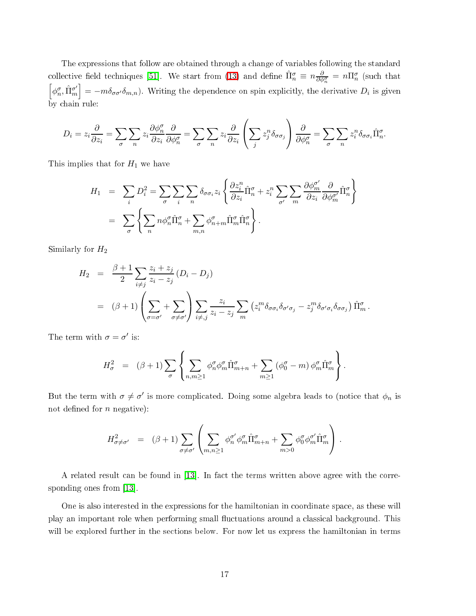The expressions that follow are obtained through a hange of variables following the standard collective field techniques [51]. We start from [\(13\)](#page-6-0) and define  $\hat{\Pi}_n^{\sigma} \equiv n \frac{\partial}{\partial \phi_n^{\sigma}} = n \Pi_n^{\sigma}$  (such that  $\left[\phi_n^{\sigma}, \hat{\Pi}_m^{\sigma'}\right] = -m \delta_{\sigma \sigma'} \delta_{m,n}$ ). Writing the dependence on spin explicitly, the derivative  $D_i$  by chain rule:

$$
D_i = z_i \frac{\partial}{\partial z_i} = \sum_{\sigma} \sum_n z_i \frac{\partial \phi_n^{\sigma}}{\partial z_i} \frac{\partial}{\partial \phi_n^{\sigma}} = \sum_{\sigma} \sum_n z_i \frac{\partial}{\partial z_i} \left( \sum_j z_j^n \delta_{\sigma \sigma_j} \right) \frac{\partial}{\partial \phi_n^{\sigma}} = \sum_{\sigma} \sum_n z_i^n \delta_{\sigma \sigma_i} \hat{\Pi}_n^{\sigma}.
$$

This implies that for  $H_1$  we have

$$
H_1 = \sum_i D_i^2 = \sum_{\sigma} \sum_i \sum_n \delta_{\sigma \sigma_i} z_i \left\{ \frac{\partial z_i^n}{\partial z_i} \hat{\Pi}_n^{\sigma} + z_i^n \sum_{\sigma'} \sum_m \frac{\partial \phi_m^{\sigma'}}{\partial z_i} \frac{\partial}{\partial \phi_m^{\sigma'}} \hat{\Pi}_n^{\sigma} \right\}
$$
  
= 
$$
\sum_{\sigma} \left\{ \sum_n n \phi_n^{\sigma} \hat{\Pi}_n^{\sigma} + \sum_{m,n} \phi_{n+m}^{\sigma} \hat{\Pi}_m^{\sigma} \hat{\Pi}_n^{\sigma} \right\}.
$$

Similarly for  $H_2$ 

$$
H_2 = \frac{\beta + 1}{2} \sum_{i \neq j} \frac{z_i + z_j}{z_i - z_j} (D_i - D_j)
$$
  
=  $(\beta + 1) \left( \sum_{\sigma = \sigma'} + \sum_{\sigma \neq \sigma'} \right) \sum_{i \neq j} \frac{z_i}{z_i - z_j} \sum_m (z_i^m \delta_{\sigma \sigma_i} \delta_{\sigma' \sigma_j} - z_j^m \delta_{\sigma' \sigma_i} \delta_{\sigma \sigma_j}) \hat{\Pi}_m^{\sigma}.$ 

The term with  $\sigma = \sigma'$  is:

$$
H^2_{\sigma} \;\; = \;\; (\beta+1)\sum_{\sigma}\left\{\sum_{n,m\geq 1}\phi^{\sigma}_n\phi^{\sigma}_m\hat{\Pi}^{\sigma}_{m+n} + \sum_{m\geq 1}\left(\phi^{\sigma}_0-m\right)\phi^{\sigma}_m\hat{\Pi}^{\sigma}_m\right\}.
$$

But the term with  $\sigma \neq \sigma'$  is more complicated. Doing some algebra leads to (notice that  $\phi_n$  is not defined for  $n$  negative):

$$
H^2_{\sigma \neq \sigma'} = (\beta + 1) \sum_{\sigma \neq \sigma'} \left( \sum_{m,n \geq 1} \phi_n^{\sigma'} \phi_m^{\sigma} \hat{\Pi}_{m+n}^{\sigma} + \sum_{m > 0} \phi_0^{\sigma} \phi_m^{\sigma'} \hat{\Pi}_{m}^{\sigma} \right).
$$

A related result can be found in  $[13]$ . In fact the terms written above agree with the corresponding ones from  $[13]$ .

One is also interested in the expressions for the hamiltonian in coordinate space, as these will play an important role when performing small fluctuations around a classical background. This will be explored further in the sections below. For now let us express the hamiltonian in terms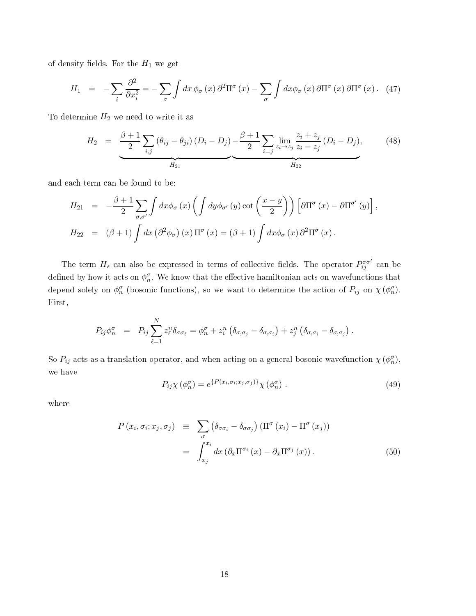<span id="page-17-1"></span>of density fields. For the  ${\cal H}_1$  we get

$$
H_1 = -\sum_{i} \frac{\partial^2}{\partial x_i^2} = -\sum_{\sigma} \int dx \, \phi_{\sigma}(x) \, \partial^2 \Pi^{\sigma}(x) - \sum_{\sigma} \int dx \phi_{\sigma}(x) \, \partial \Pi^{\sigma}(x) \, \partial \Pi^{\sigma}(x). \tag{47}
$$

<span id="page-17-2"></span>To determine  $H_2$  we need to write it as

$$
H_2 = \underbrace{\frac{\beta+1}{2} \sum_{i,j} (\theta_{ij} - \theta_{ji}) (D_i - D_j) - \frac{\beta+1}{2} \sum_{i=j} \lim_{z_i \to z_j} \frac{z_i + z_j}{z_i - z_j} (D_i - D_j)}_{H_{22}},
$$
\n
$$
(48)
$$

and ea
h term an be found to be:

$$
H_{21} = -\frac{\beta + 1}{2} \sum_{\sigma,\sigma'} \int dx \phi_{\sigma}(x) \left( \int dy \phi_{\sigma'}(y) \cot \left( \frac{x - y}{2} \right) \right) \left[ \partial \Pi^{\sigma}(x) - \partial \Pi^{\sigma'}(y) \right],
$$
  
\n
$$
H_{22} = (\beta + 1) \int dx \left( \partial^2 \phi_{\sigma} \right)(x) \Pi^{\sigma}(x) = (\beta + 1) \int dx \phi_{\sigma}(x) \partial^2 \Pi^{\sigma}(x).
$$

The term  $H_s$  can also be expressed in terms of collective fields. The operator  $P_{ij}^{\sigma\sigma'}$  can be defined by how it acts on  $\phi_n^{\sigma}$ . We know that the effective hamiltonian acts on wavefunctions that depend solely on  $\phi_n^{\sigma}$  (bosonic functions), so we want to determine the action of  $P_{ij}$  on  $\chi(\phi_n^{\sigma})$ . First,

$$
P_{ij}\phi_n^{\sigma} = P_{ij}\sum_{\ell=1}^N z_{\ell}^n \delta_{\sigma\sigma_{\ell}} = \phi_n^{\sigma} + z_i^n (\delta_{\sigma,\sigma_j} - \delta_{\sigma,\sigma_i}) + z_j^n (\delta_{\sigma,\sigma_i} - \delta_{\sigma,\sigma_j}).
$$

<span id="page-17-0"></span>So  $P_{ij}$  acts as a translation operator, and when acting on a general bosonic wavefunction  $\chi(\phi_n^{\sigma}),$ we have

$$
P_{ij}\chi\left(\phi_n^{\sigma}\right) = e^{\left\{P(x_i,\sigma_i;x_j,\sigma_j)\right\}}\chi\left(\phi_n^{\sigma}\right). \tag{49}
$$

where

$$
P(x_i, \sigma_i; x_j, \sigma_j) \equiv \sum_{\sigma} (\delta_{\sigma \sigma_i} - \delta_{\sigma \sigma_j}) (\Pi^{\sigma} (x_i) - \Pi^{\sigma} (x_j))
$$

$$
= \int_{x_j}^{x_i} dx (\partial_x \Pi^{\sigma_i} (x) - \partial_x \Pi^{\sigma_j} (x)). \tag{50}
$$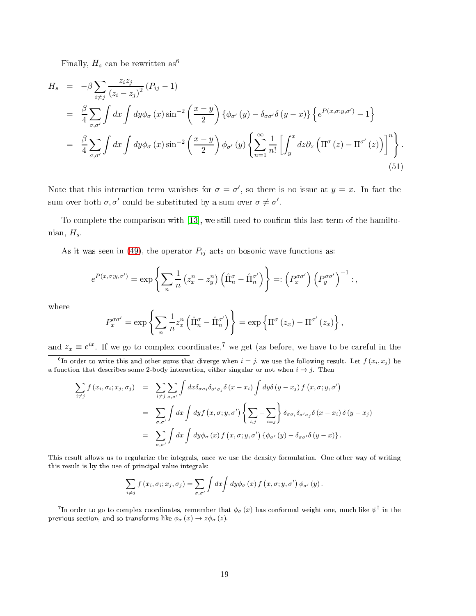Finally,  $H_s$  can be rewritten as<sup>6</sup>

<span id="page-18-0"></span>
$$
H_s = -\beta \sum_{i \neq j} \frac{z_i z_j}{(z_i - z_j)^2} (P_{ij} - 1)
$$
  
\n
$$
= \frac{\beta}{4} \sum_{\sigma,\sigma'} \int dx \int dy \phi_{\sigma}(x) \sin^{-2} \left( \frac{x - y}{2} \right) {\phi_{\sigma'}(y) - \delta_{\sigma\sigma'} \delta(y - x)} \left\{ e^{P(x,\sigma;y,\sigma')} - 1 \right\}
$$
  
\n
$$
= \frac{\beta}{4} \sum_{\sigma,\sigma'} \int dx \int dy \phi_{\sigma}(x) \sin^{-2} \left( \frac{x - y}{2} \right) \phi_{\sigma'}(y) \left\{ \sum_{n=1}^{\infty} \frac{1}{n!} \left[ \int_y^x dz \partial_z \left( \Pi^{\sigma}(z) - \Pi^{\sigma'}(z) \right) \right]^n \right\}.
$$
  
\n(51)

Note that this interaction term vanishes for  $\sigma = \sigma'$ , so there is no issue at  $y = x$ . In fact the sum over both  $\sigma, \sigma'$  could be substituted by a sum over  $\sigma \neq \sigma'$ .

To complete the comparison with  $[13]$ , we still need to confirm this last term of the hamiltonian,  $H_s$ .

As it was seen in [\(49\)](#page-17-0), the operator  $P_{ij}$  acts on bosonic wave functions as:

$$
e^{P(x,\sigma;y,\sigma')} = \exp\left\{\sum_{n} \frac{1}{n} \left(z_x^n - z_y^n\right) \left(\hat{\Pi}_n^{\sigma} - \hat{\Pi}_n^{\sigma'}\right) \right\} =: \left(P_x^{\sigma\sigma'}\right) \left(P_y^{\sigma\sigma'}\right)^{-1} : ,
$$

where

$$
P_x^{\sigma\sigma'} = \exp\left\{\sum_n \frac{1}{n} z_x^n \left(\hat{\Pi}_n^{\sigma} - \hat{\Pi}_n^{\sigma'}\right)\right\} = \exp\left\{\Pi^{\sigma}(z_x) - \Pi^{\sigma'}(z_x)\right\},\,
$$

and  $z_x \equiv e^{ix}$ . If we go to complex coordinates,<sup>7</sup> we get (as before, we have to be careful in the

<sup>6</sup>In order to write this and other sums that diverge when  $i = j$ , we use the following result. Let  $f(x_i, x_j)$  be a function that describes some 2-body interaction, either singular or not when  $i \to j$ . Then

$$
\sum_{i \neq j} f(x_i, \sigma_i; x_j, \sigma_j) = \sum_{i \neq j} \sum_{\sigma, \sigma'} \int dx \delta_{\sigma \sigma_i} \delta_{\sigma' \sigma_j} \delta(x - x_i) \int dy \delta(y - x_j) f(x, \sigma; y, \sigma')
$$
  
\n
$$
= \sum_{\sigma, \sigma'} \int dx \int dy f(x, \sigma; y, \sigma') \left\{ \sum_{i,j} - \sum_{i=j} \right\} \delta_{\sigma \sigma_i} \delta_{\sigma' \sigma_j} \delta(x - x_i) \delta(y - x_j)
$$
  
\n
$$
= \sum_{\sigma, \sigma'} \int dx \int dy \phi_{\sigma}(x) f(x, \sigma; y, \sigma') \left\{ \phi_{\sigma'}(y) - \delta_{\sigma \sigma'} \delta(y - x) \right\}.
$$

This result allows us to regularize the integrals, on
e we use the density formulation. One other way of writing this result is by the use of prin
ipal value integrals:

$$
\sum_{i \neq j} f(x_i, \sigma_i; x_j, \sigma_j) = \sum_{\sigma, \sigma'} \int dx \int dy \phi_{\sigma}(x) f(x, \sigma; y, \sigma') \phi_{\sigma'}(y).
$$

<sup>7</sup>In order to go to complex coordinates, remember that  $\phi_\sigma(x)$  has conformal weight one, much like  $\psi^\dagger$  in the previous section, and so transforms like  $\phi_{\sigma}(x) \to z \phi_{\sigma}(z)$ .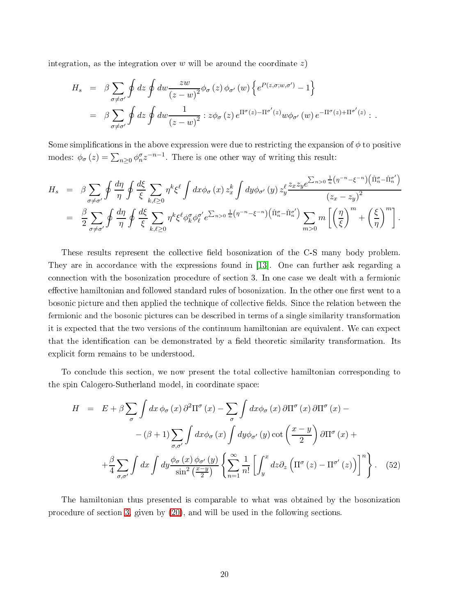integration, as the integration over  $w$  will be around the coordinate  $z$ )

$$
H_s = \beta \sum_{\sigma \neq \sigma'} \oint dz \oint dw \frac{zw}{(z-w)^2} \phi_{\sigma}(z) \phi_{\sigma'}(w) \left\{ e^{P(z,\sigma;w,\sigma')} - 1 \right\}
$$
  

$$
= \beta \sum_{\sigma \neq \sigma'} \oint dz \oint dw \frac{1}{(z-w)^2} : z \phi_{\sigma}(z) e^{\Pi^{\sigma}(z) - \Pi^{\sigma'}(z)} w \phi_{\sigma'}(w) e^{-\Pi^{\sigma}(z) + \Pi^{\sigma'}(z)} : .
$$

Some simplifications in the above expression were due to restricting the expansion of  $\phi$  to positive modes:  $\phi_{\sigma}(z) = \sum_{n\geq 0} \phi_n^{\sigma} z^{-n-1}$ . There is one other way of writing this result:

$$
H_s = \beta \sum_{\sigma \neq \sigma'} \oint \frac{d\eta}{\eta} \oint \frac{d\xi}{\xi} \sum_{k,\ell \geq 0} \eta^k \xi^{\ell} \int dx \phi_{\sigma}(x) z_x^k \int dy \phi_{\sigma'}(y) z_y^{\ell} \frac{z_x z_y e^{\sum_{n>0} \frac{1}{n} (\eta^{-n} - \xi^{-n}) (\hat{\Pi}_{n}^{\sigma} - \hat{\Pi}_{n}^{\sigma'})}}{(z_x - z_y)^2}
$$
  
= 
$$
\frac{\beta}{2} \sum_{\sigma \neq \sigma'} \oint \frac{d\eta}{\eta} \oint \frac{d\xi}{\xi} \sum_{k,\ell \geq 0} \eta^k \xi^{\ell} \phi_k^{\sigma} \phi_{\ell}^{\sigma'} e^{\sum_{n>0} \frac{1}{n} (\eta^{-n} - \xi^{-n}) (\hat{\Pi}_{n}^{\sigma} - \hat{\Pi}_{n}^{\sigma'})} \sum_{m>0} m \left[ \left( \frac{\eta}{\xi} \right)^m + \left( \frac{\xi}{\eta} \right)^m \right].
$$

These results represent the collective field bosonization of the C-S many body problem. They are in accordance with the expressions found in [13]. One can further ask regarding a connection with the bosonization procedure of section 3. In one case we dealt with a fermionic effective hamiltonian and followed standard rules of bosonization. In the other one first went to a bosonic picture and then applied the technique of collective fields. Since the relation between the fermionic and the bosonic pictures can be described in terms of a single similarity transformation it is expe
ted that the two versions of the ontinuum hamiltonian are equivalent. We an expe
t that the identification can be demonstrated by a field theoretic similarity transformation. Its explicit form remains to be understood.

<span id="page-19-0"></span>To conclude this section, we now present the total collective hamiltonian corresponding to the spin Calogero-Sutherland model, in coordinate space:

$$
H = E + \beta \sum_{\sigma} \int dx \, \phi_{\sigma}(x) \, \partial^{2} \Pi^{\sigma}(x) - \sum_{\sigma} \int dx \phi_{\sigma}(x) \, \partial \Pi^{\sigma}(x) \, \partial \Pi^{\sigma}(x) -
$$

$$
- (\beta + 1) \sum_{\sigma, \sigma'} \int dx \phi_{\sigma}(x) \int dy \phi_{\sigma'}(y) \cot \left(\frac{x - y}{2}\right) \partial \Pi^{\sigma}(x) +
$$

$$
+ \frac{\beta}{4} \sum_{\sigma, \sigma'} \int dx \int dy \frac{\phi_{\sigma}(x) \phi_{\sigma'}(y)}{\sin^{2} \left(\frac{x - y}{2}\right)} \left\{ \sum_{n = 1}^{\infty} \frac{1}{n!} \left[ \int_{y}^{x} dz \partial_{z} \left( \Pi^{\sigma}(z) - \Pi^{\sigma'}(z) \right) \right]^{n} \right\}.
$$
 (52)

The hamiltonian thus presented is omparable to what was obtained by the bosonization pro
edure of se
tion [3,](#page-5-0) given by [\(20\)](#page-10-0), and will be used in the following se
tions.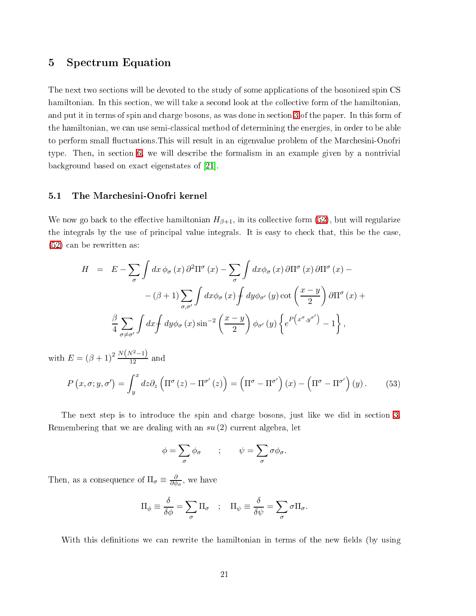## <span id="page-20-0"></span>5 Spe
trum Equation

The next two sections will be devoted to the study of some applications of the bosonized spin CS hamiltonian. In this section, we will take a second look at the collective form of the hamiltonian, and put it in terms of spin and charge bosons, as was done in section [3](#page-5-0) of the paper. In this form of the hamiltonian, we can use semi-classical method of determining the energies, in order to be able to perform small fluctuations. This will result in an eigenvalue problem of the Marchesini-Onofri type. Then, in se
tion [6,](#page-26-0) we will des
ribe the formalism in an example given by a nontrivial background based on exact eigenstates of [21].

#### 5.1 The Mar
hesini-Onofri kernel

We now go back to the effective hamiltonian  $H_{\beta+1}$ , in its collective form [\(52\)](#page-19-0), but will regularize the integrals by the use of principal value integrals. It is easy to check that, this be the case, [\(52\)](#page-19-0) an be rewritten as:

$$
H = E - \sum_{\sigma} \int dx \, \phi_{\sigma}(x) \, \partial^{2} \Pi^{\sigma}(x) - \sum_{\sigma} \int dx \phi_{\sigma}(x) \, \partial \Pi^{\sigma}(x) \, \partial \Pi^{\sigma}(x) -
$$

$$
- (\beta + 1) \sum_{\sigma, \sigma'} \int dx \phi_{\sigma}(x) \int dy \phi_{\sigma'}(y) \cot \left(\frac{x - y}{2}\right) \partial \Pi^{\sigma}(x) +
$$

$$
\frac{\beta}{4} \sum_{\sigma \neq \sigma'} \int dx \int dy \phi_{\sigma}(x) \sin^{-2} \left(\frac{x - y}{2}\right) \phi_{\sigma'}(y) \left\{ e^{P(x^{\sigma}, y^{\sigma'})} - 1 \right\},
$$

with  $E = (\beta + 1)^2 \frac{N(N^2 - 1)}{12}$  and

$$
P(x,\sigma;y,\sigma') = \int_{y}^{x} dz \partial_{z} \left( \Pi^{\sigma}(z) - \Pi^{\sigma'}(z) \right) = \left( \Pi^{\sigma} - \Pi^{\sigma'} \right) (x) - \left( \Pi^{\sigma} - \Pi^{\sigma'} \right) (y).
$$
 (53)

The next step is to introduce the spin and charge bosons, just like we did in section [3.](#page-5-0) Remembering that we are dealing with an  $su(2)$  current algebra, let

$$
\phi = \sum_{\sigma} \phi_{\sigma} \qquad ; \qquad \psi = \sum_{\sigma} \sigma \phi_{\sigma}.
$$

Then, as a consequence of  $\Pi_{\sigma} \equiv \frac{\partial}{\partial \phi_{\sigma}}$ , we have

$$
\Pi_{\phi} \equiv \frac{\delta}{\delta \phi} = \sum_{\sigma} \Pi_{\sigma} \quad ; \quad \Pi_{\psi} \equiv \frac{\delta}{\delta \psi} = \sum_{\sigma} \sigma \Pi_{\sigma}.
$$

With this definitions we can rewrite the hamiltonian in terms of the new fields (by using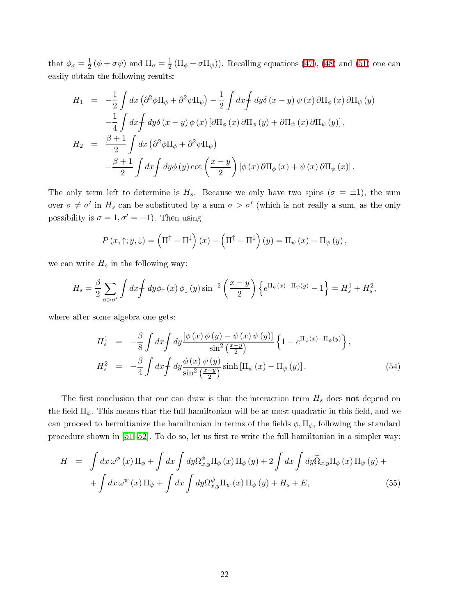that  $\phi_{\sigma} = \frac{1}{2}$  $\frac{1}{2}(\phi + \sigma \psi)$  and  $\Pi_{\sigma} = \frac{1}{2}$  $\frac{1}{2}(\Pi_{\phi} + \sigma \Pi_{\psi})$ . Recalling equations [\(47\)](#page-17-1), [\(48\)](#page-17-2) and [\(51\)](#page-18-0) one can easily obtain the following results:

$$
H_1 = -\frac{1}{2} \int dx \left(\partial^2 \phi \Pi_{\phi} + \partial^2 \psi \Pi_{\psi}\right) - \frac{1}{2} \int dx \int dy \delta(x - y) \psi(x) \partial \Pi_{\phi}(x) \partial \Pi_{\psi}(y)
$$
  

$$
-\frac{1}{4} \int dx \int dy \delta(x - y) \phi(x) \left[\partial \Pi_{\phi}(x) \partial \Pi_{\phi}(y) + \partial \Pi_{\psi}(x) \partial \Pi_{\psi}(y)\right],
$$
  

$$
H_2 = \frac{\beta + 1}{2} \int dx \left(\partial^2 \phi \Pi_{\phi} + \partial^2 \psi \Pi_{\psi}\right)
$$
  

$$
-\frac{\beta + 1}{2} \int dx \int dy \phi(y) \cot\left(\frac{x - y}{2}\right) \left[\phi(x) \partial \Pi_{\phi}(x) + \psi(x) \partial \Pi_{\psi}(x)\right].
$$

The only term left to determine is  $H_s$ . Because we only have two spins  $(\sigma = \pm 1)$ , the sum over  $\sigma \neq \sigma'$  in  $H_s$  can be substituted by a sum  $\sigma > \sigma'$  (which is not really a sum, as the only possibility is  $\sigma = 1, \sigma' = -1$ ). Then using

$$
P(x,\uparrow;y,\downarrow)=\left(\Pi^{\uparrow}-\Pi^{\downarrow}\right)(x)-\left(\Pi^{\uparrow}-\Pi^{\downarrow}\right)(y)=\Pi_{\psi}(x)-\Pi_{\psi}(y),
$$

we can write  $H_s$  in the following way:

$$
H_s = \frac{\beta}{2} \sum_{\sigma > \sigma'} \int dx \int dy \phi_{\uparrow}(x) \phi_{\downarrow}(y) \sin^{-2} \left(\frac{x-y}{2}\right) \left\{ e^{\Pi_{\psi}(x) - \Pi_{\psi}(y)} - 1 \right\} = H_s^1 + H_s^2,
$$

<span id="page-21-1"></span>where after some algebra one gets:

$$
H_s^1 = -\frac{\beta}{8} \int dx \int dy \frac{\left[\phi(x)\phi(y) - \psi(x)\psi(y)\right]}{\sin^2\left(\frac{x-y}{2}\right)} \left\{1 - e^{\Pi_{\psi}(x) - \Pi_{\psi}(y)}\right\},
$$
  
\n
$$
H_s^2 = -\frac{\beta}{4} \int dx \int dy \frac{\phi(x)\psi(y)}{\sin^2\left(\frac{x-y}{2}\right)} \sinh\left[\Pi_{\psi}(x) - \Pi_{\psi}(y)\right].
$$
\n(54)

The first conclusion that one can draw is that the interaction term  $H_s$  does not depend on the field  $\Pi_{\phi}$ . This means that the full hamiltonian will be at most quadratic in this field, and we can proceed to hermitianize the hamiltonian in terms of the fields  $\phi, \Pi_{\phi}$ , following the standard procedure shown in [\[51,](#page-35-1) 52]. To do so, let us first re-write the full hamiltonian in a simpler way:

<span id="page-21-0"></span>
$$
H = \int dx \,\omega^{\phi}(x) \,\Pi_{\phi} + \int dx \int dy \Omega_{x,y}^{\phi} \Pi_{\phi}(x) \,\Pi_{\phi}(y) + 2 \int dx \int dy \widetilde{\Omega}_{x,y} \Pi_{\phi}(x) \,\Pi_{\psi}(y) +
$$

$$
+ \int dx \,\omega^{\psi}(x) \,\Pi_{\psi} + \int dx \int dy \Omega_{x,y}^{\psi} \Pi_{\psi}(x) \,\Pi_{\psi}(y) + H_s + E,
$$
(55)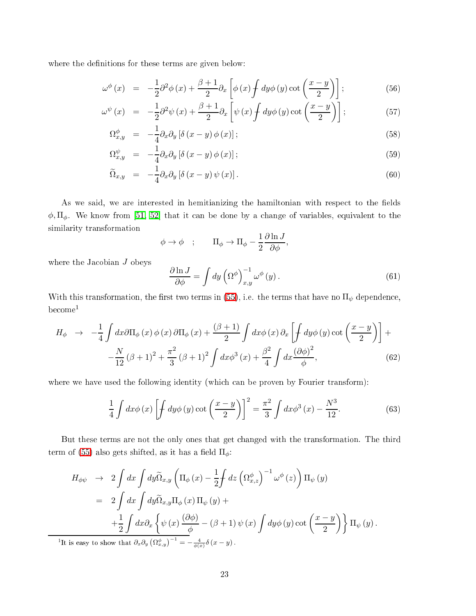where the definitions for these terms are given below:

$$
\omega^{\phi}(x) = -\frac{1}{2}\partial^2\phi(x) + \frac{\beta+1}{2}\partial_x\left[\phi(x)\int dy\phi(y)\cot\left(\frac{x-y}{2}\right)\right];\tag{56}
$$

$$
\omega^{\psi}(x) = -\frac{1}{2}\partial^2\psi(x) + \frac{\beta+1}{2}\partial_x\left[\psi(x)\int dy\phi(y)\cot\left(\frac{x-y}{2}\right)\right];\tag{57}
$$

$$
\Omega_{x,y}^{\phi} = -\frac{1}{4} \partial_x \partial_y \left[ \delta \left( x - y \right) \phi \left( x \right) \right];\tag{58}
$$

$$
\Omega_{x,y}^{\psi} = -\frac{1}{4} \partial_x \partial_y \left[ \delta \left( x - y \right) \phi \left( x \right) \right];\tag{59}
$$

$$
\widetilde{\Omega}_{x,y} = -\frac{1}{4} \partial_x \partial_y \left[ \delta \left( x - y \right) \psi \left( x \right) \right]. \tag{60}
$$

As we said, we are interested in hemitianizing the hamiltonian with respect to the fields  $\phi, \Pi_{\phi}$ . We know from [\[51,](#page-35-1) 52] that it can be done by a change of variables, equivalent to the similarity transformation

$$
\phi \to \phi \quad ; \qquad \Pi_{\phi} \to \Pi_{\phi} - \frac{1}{2} \frac{\partial \ln J}{\partial \phi},
$$

where the Jacobian  ${\cal J}$  obeys

$$
\frac{\partial \ln J}{\partial \phi} = \int dy \left( \Omega^{\phi} \right)_{x,y}^{-1} \omega^{\phi} (y). \tag{61}
$$

With this transformation, the first two terms in [\(55\)](#page-21-0), i.e. the terms that have no  $\Pi_\psi$  dependence, be
ome<sup>1</sup>

$$
H_{\phi} \rightarrow -\frac{1}{4} \int dx \partial \Pi_{\phi}(x) \phi(x) \partial \Pi_{\phi}(x) + \frac{(\beta + 1)}{2} \int dx \phi(x) \partial_x \left[ \int dy \phi(y) \cot \left( \frac{x - y}{2} \right) \right] +
$$
  

$$
-\frac{N}{12} (\beta + 1)^2 + \frac{\pi^2}{3} (\beta + 1)^2 \int dx \phi^3(x) + \frac{\beta^2}{4} \int dx \frac{(\partial \phi)^2}{\phi},
$$
(62)

where we have used the following identity (which can be proven by Fourier transform):

$$
\frac{1}{4}\int dx \phi(x) \left[\int dy \phi(y) \cot\left(\frac{x-y}{2}\right)\right]^2 = \frac{\pi^2}{3}\int dx \phi^3(x) - \frac{N^3}{12}.
$$
\n(63)

But these terms are not the only ones that get hanged with the transformation. The third term of [\(55\)](#page-21-0) also gets shifted, as it has a field  $\Pi_{\phi}$ :

$$
H_{\phi\psi} \rightarrow 2 \int dx \int dy \widetilde{\Omega}_{x,y} \left( \Pi_{\phi}(x) - \frac{1}{2} \int dz \left( \Omega_{x,z}^{\phi} \right)^{-1} \omega^{\phi}(z) \right) \Pi_{\psi}(y)
$$
  
\n
$$
= 2 \int dx \int dy \widetilde{\Omega}_{x,y} \Pi_{\phi}(x) \Pi_{\psi}(y) +
$$
  
\n
$$
+ \frac{1}{2} \int dx \partial_x \left\{ \psi(x) \frac{(\partial \phi)}{\phi} - (\beta + 1) \psi(x) \int dy \phi(y) \cot \left( \frac{x-y}{2} \right) \right\} \Pi_{\psi}(y).
$$
  
\nis easy to show that  $\partial_x \partial_y \left( \Omega_{x,y}^{\phi} \right)^{-1} = -\frac{4}{\phi(x)} \delta(x-y).$ 

 $^1\mathrm{It}$ It is easy to show that  $\partial_x \partial_y$  $\phi(x)$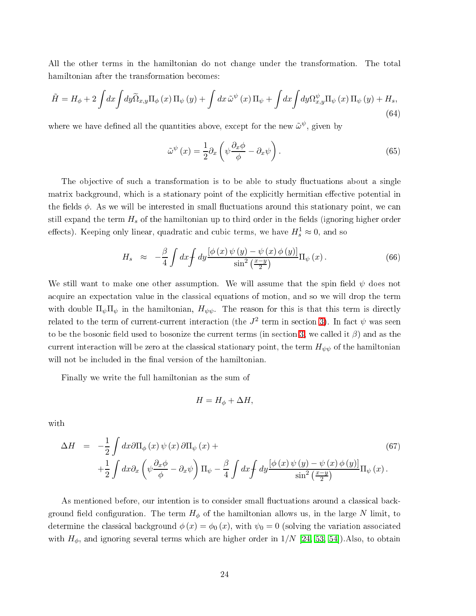All the other terms in the hamiltonian do not hange under the transformation. The total hamiltonian after the transformation be
omes:

$$
\tilde{H} = H_{\phi} + 2 \int dx \int dy \tilde{\Omega}_{x,y} \Pi_{\phi}(x) \Pi_{\psi}(y) + \int dx \tilde{\omega}^{\psi}(x) \Pi_{\psi} + \int dx \int dy \Omega_{x,y}^{\psi} \Pi_{\psi}(x) \Pi_{\psi}(y) + H_{s},
$$
\n(64)

where we have defined all the quantities above, except for the new  $\tilde{\omega}^{\psi},$  given by

$$
\tilde{\omega}^{\psi}(x) = \frac{1}{2} \partial_x \left( \psi \frac{\partial_x \phi}{\phi} - \partial_x \psi \right). \tag{65}
$$

The objective of such a transformation is to be able to study fluctuations about a single matrix background, which is a stationary point of the explicitly hermitian effective potential in the fields  $\phi$ . As we will be interested in small fluctuations around this stationary point, we can still expand the term  $H_s$  of the hamiltonian up to third order in the fields (ignoring higher order effects). Keeping only linear, quadratic and cubic terms, we have  $H_s^1 \approx 0$ , and so

$$
H_s \approx -\frac{\beta}{4} \int dx \int dy \frac{\left[\phi(x)\psi(y) - \psi(x)\phi(y)\right]}{\sin^2\left(\frac{x-y}{2}\right)} \Pi_\psi(x) \,. \tag{66}
$$

<span id="page-23-0"></span>We still want to make one other assumption. We will assume that the spin field  $\psi$  does not acquire an expectation value in the classical equations of motion, and so we will drop the term with double  $\Pi_{\psi} \Pi_{\psi}$  in the hamiltonian,  $H_{\psi\psi}$ . The reason for this is that this term is directly related to the term of current-current interaction (the  $J^2$  term in section [3\)](#page-5-0). In fact  $\psi$  was seen to be the bosonic field used to bosonize the current terms (in section [3,](#page-5-0) we called it  $\beta$ ) and as the current interaction will be zero at the classical stationary point, the term  $H_{\psi\psi}$  of the hamiltonian will not be included in the final version of the hamiltonian.

Finally we write the full hamiltonian as the sum of

$$
H = H_{\phi} + \Delta H,
$$

with

$$
\Delta H = -\frac{1}{2} \int dx \partial \Pi_{\phi}(x) \psi(x) \partial \Pi_{\psi}(x) +
$$
  
 
$$
+ \frac{1}{2} \int dx \partial_x \left( \psi \frac{\partial_x \phi}{\phi} - \partial_x \psi \right) \Pi_{\psi} - \frac{\beta}{4} \int dx \int dy \frac{\left[ \phi(x) \psi(y) - \psi(x) \phi(y) \right]}{\sin^2 \left( \frac{x - y}{2} \right)} \Pi_{\psi}(x).
$$
 (67)

As mentioned before, our intention is to consider small fluctuations around a classical background field configuration. The term  $H_{\phi}$  of the hamiltonian allows us, in the large N limit, to determine the classical background  $\phi(x) = \phi_0(x)$ , with  $\psi_0 = 0$  (solving the variation associated with  $H_{\phi}$ , and ignoring several terms which are higher order in  $1/N$  [\[24,](#page-33-4) [53,](#page-35-3) 54]). Also, to obtain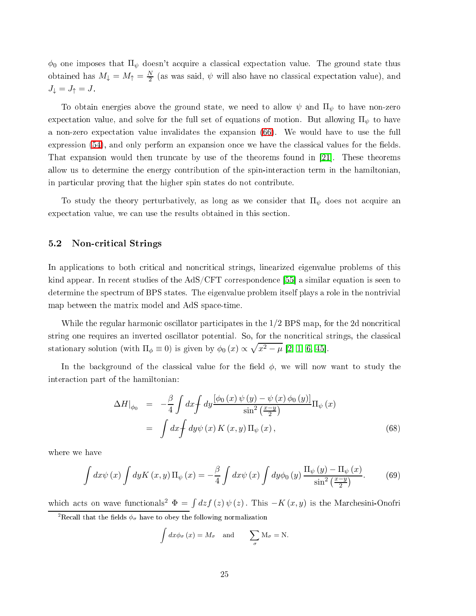$\phi_0$  one imposes that  $\Pi_\psi$  doesn't acquire a classical expectation value. The ground state thus obtained has  $M_{\downarrow} = M_{\uparrow} = \frac{N}{2}$  (as was said,  $\psi$  will also have no classical expectation value), and  $J_{\downarrow} = J_{\uparrow} = J$  .

To obtain energies above the ground state, we need to allow  $\psi$  and  $\Pi_{\psi}$  to have non-zero expectation value, and solve for the full set of equations of motion. But allowing  $\Pi_{\psi}$  to have a non-zero expe
tation value invalidates the expansion [\(66\)](#page-23-0). We would have to use the full expression  $(54)$ , and only perform an expansion once we have the classical values for the fields. That expansion would then truncate by use of the theorems found in  $[21]$ . These theorems allow us to determine the energy ontribution of the spin-intera
tion term in the hamiltonian, in parti
ular proving that the higher spin states do not ontribute.

To study the theory perturbatively, as long as we consider that  $\Pi_{\psi}$  does not acquire an expectation value, we can use the results obtained in this section.

### 5.2 Non-critical Strings

In applications to both critical and noncritical strings, linearized eigenvalue problems of this kind appear. In recent studies of the  $AdS/CFT$  correspondence [55] a similar equation is seen to determine the spectrum of BPS states. The eigenvalue problem itself plays a role in the nontrivial map between the matrix model and AdS spa
e-time.

While the regular harmonic oscillator participates in the  $1/2$  BPS map, for the 2d noncritical string one requires an inverted oscillator potential. So, for the noncritical strings, the classical stationary solution (with  $\Pi_{\phi} \equiv 0$ ) is given by  $\phi_0(x) \propto \sqrt{x^2 - \mu}$  [\[2,](#page-31-1) [1,](#page-31-0) [6,](#page-32-1) 45].

In the background of the classical value for the field  $\phi$ , we will now want to study the intera
tion part of the hamiltonian:

$$
\Delta H|_{\phi_0} = -\frac{\beta}{4} \int dx \int dy \frac{[\phi_0(x) \psi(y) - \psi(x) \phi_0(y)]}{\sin^2(\frac{x-y}{2})} \Pi_{\psi}(x)
$$
  
=  $\int dx \int dy \psi(x) K(x, y) \Pi_{\psi}(x),$  (68)

where we have

$$
\int dx \psi(x) \int dy K(x, y) \Pi_{\psi}(x) = -\frac{\beta}{4} \int dx \psi(x) \int dy \phi_0(y) \frac{\Pi_{\psi}(y) - \Pi_{\psi}(x)}{\sin^2\left(\frac{x-y}{2}\right)}.
$$
 (69)

which acts on wave functionals<sup>2</sup>  $\Phi = \int dz f(z) \psi(z)$ . This  $-K(x, y)$  is the Marchesini-Onofri

<sup>2</sup>Recall that the fields  $\phi_{\sigma}$  have to obey the following normalization

$$
\int dx \phi_{\sigma}(x) = M_{\sigma}
$$
 and  $\sum_{\sigma} M_{\sigma} = N$ .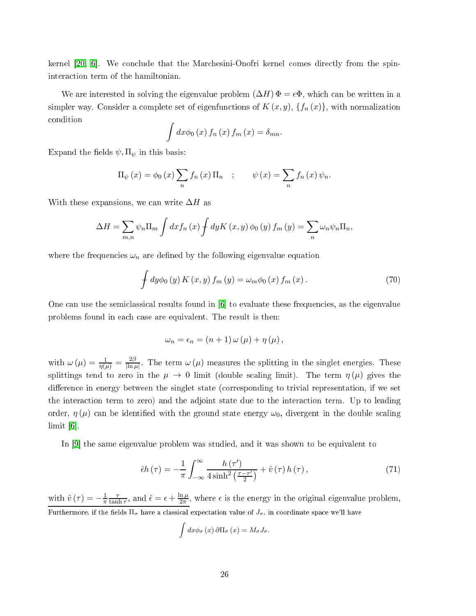kernel  $[20, 6]$  $[20, 6]$ . We conclude that the Marchesini-Onofri kernel comes directly from the spinintera
tion term of the hamiltonian.

We are interested in solving the eigenvalue problem  $(\Delta H) \Phi = \epsilon \Phi$ , which can be written in a simpler way. Consider a complete set of eigenfunctions of  $K(x, y)$ ,  $\{f_n(x)\}\$ , with normalization ondition

$$
\int dx \phi_0(x) f_n(x) f_m(x) = \delta_{mn}.
$$

Expand the fields  $\psi, \Pi_{\psi}$  in this basis:

$$
\Pi_{\psi}(x) = \phi_0(x) \sum_n f_n(x) \Pi_n ; \qquad \psi(x) = \sum_n f_n(x) \psi_n.
$$

With these expansions, we can write  $\Delta H$  as

$$
\Delta H = \sum_{m,n} \psi_n \Pi_m \int dx f_n(x) \int dy K(x,y) \phi_0(y) f_m(y) = \sum_n \omega_n \psi_n \Pi_n,
$$

where the frequencies  $\omega_n$  are defined by the following eigenvalue equation

$$
\int dy \phi_0(y) K(x, y) f_m(y) = \omega_m \phi_0(x) f_m(x).
$$
\n(70)

One can use the semiclassical results found in [6] to evaluate these frequencies, as the eigenvalue problems found in each case are equivalent. The result is then:

$$
\omega_n = \epsilon_n = (n+1) \omega (\mu) + \eta (\mu) ,
$$

with  $\omega(\mu) = \frac{1}{\eta(\mu)} = \frac{2\beta}{\ln \mu}$  $\frac{2\beta}{\ln \mu}$ . The term  $\omega(\mu)$  measures the splitting in the singlet energies. These splittings tend to zero in the  $\mu \to 0$  limit (double scaling limit). The term  $\eta(\mu)$  gives the difference in energy between the singlet state (corresponding to trivial representation, if we set the intera
tion term to zero) and the adjoint state due to the intera
tion term. Up to leading order,  $\eta(\mu)$  can be identified with the ground state energy  $\omega_0$ , divergent in the double scaling  $\lim$ it  $[6]$ .

In  $[9]$  the same eigenvalue problem was studied, and it was shown to be equivalent to

$$
\hat{\epsilon}h(\tau) = -\frac{1}{\pi} \int_{-\infty}^{\infty} \frac{h(\tau')}{4\sinh^2\left(\frac{\tau - \tau'}{2}\right)} + \hat{v}(\tau)h(\tau), \qquad (71)
$$

with  $\hat{v}(\tau) = -\frac{1}{\pi}$ π τ  $\frac{\tau}{\tanh \tau}$ , and  $\hat{\epsilon} = \epsilon + \frac{\ln \mu}{2\pi}$  $\frac{n\mu}{2\pi}$ , where  $\epsilon$  is the energy in the original eigenvalue problem, Furthermore, if the fields  $\Pi_{\sigma}$  have a classical expectation value of  $J_{\sigma}$ , in coordinate space we'll have

$$
\int dx \phi_{\sigma}(x) \,\partial \Pi_{\sigma}(x) = M_{\sigma} J_{\sigma}.
$$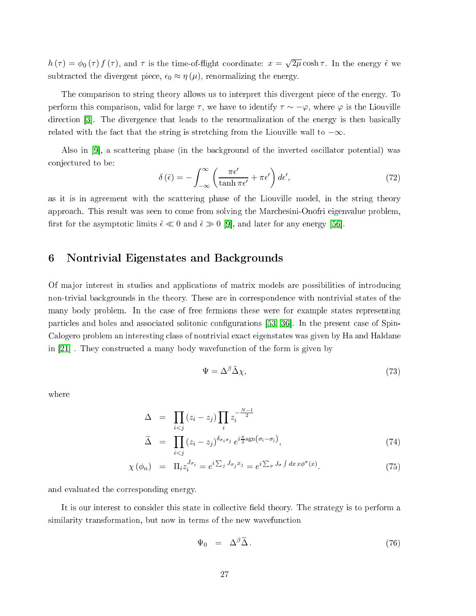$h(\tau) = \phi_0(\tau) f(\tau)$ , and  $\tau$  is the time-of-flight coordinate:  $x = \sqrt{2\mu} \cosh \tau$ . In the energy  $\hat{\epsilon}$  we subtracted the divergent piece,  $\epsilon_0 \approx \eta(\mu)$ , renormalizing the energy.

The omparison to string theory allows us to interpret this divergent pie
e of the energy. To perform this comparison, valid for large  $\tau$ , we have to identify  $\tau \sim -\varphi$ , where  $\varphi$  is the Liouville direction [3]. The divergence that leads to the renormalization of the energy is then basically related with the fact that the string is stretching from the Liouville wall to  $-\infty$ .

Also in  $[9]$ , a scattering phase (in the background of the inverted oscillator potential) was onje
tured to be:

$$
\delta\left(\hat{\epsilon}\right) = -\int_{-\infty}^{\infty} \left(\frac{\pi\epsilon'}{\tanh \pi\epsilon'} + \pi\epsilon'\right) d\epsilon',\tag{72}
$$

as it is in agreement with the scattering phase of the Liouville model, in the string theory approa
h. This result was seen to ome from solving the Mar
hesini-Onofri eigenvalue problem, first for the asymptotic limits  $\hat{\epsilon} \ll 0$  and  $\hat{\epsilon} \gg 0$  [9], and later for any energy [56].

#### <span id="page-26-0"></span>6 6 Nontrivial Eigenstates and Ba
kgrounds

Of major interest in studies and applications of matrix models are possibilities of introducing non-trivial ba
kgrounds in the theory. These are in orresponden
e with nontrivial states of the many body problem. In the ase of free fermions these were for example states representing particles and holes and associated solitonic configurations [\[53,](#page-35-3) 36]. In the present case of Spin-Calogero problem an interesting lass of nontrivial exa
t eigenstates was given by Ha and Haldane in  $[21]$ . They constructed a many body wavefunction of the form is given by

$$
\Psi = \Delta^{\beta} \tilde{\Delta} \chi,\tag{73}
$$

where

$$
\Delta = \prod_{i < j} (z_i - z_j) \prod_i z_i^{-\frac{N-1}{2}} \qquad (74)
$$
\n
$$
\tilde{\Delta} = \prod_{i < j} (z_i - z_j)^{\delta_{\sigma_i \sigma_j}} e^{i \frac{\pi}{2} \text{sgn}(\sigma_i - \sigma_j)},
$$

$$
\chi(\phi_n) = \Pi_i z_i^{J_{\sigma_i}} = e^{i \sum_j J_{\sigma_j} x_j} = e^{i \sum_{\sigma} J_{\sigma} \int dx \, x \phi^{\sigma}(x)}.
$$
\n(75)

and evaluated the orresponding energy.

It is our interest to consider this state in collective field theory. The strategy is to perform a similarity transformation, but now in terms of the new wavefunction

$$
\Psi_0 = \Delta^\beta \widetilde{\Delta} \,. \tag{76}
$$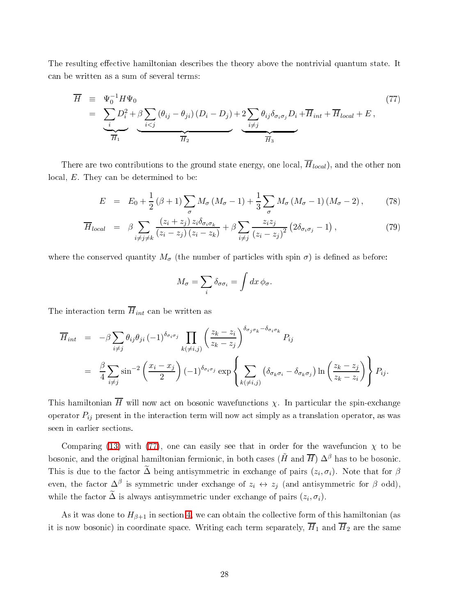<span id="page-27-0"></span>The resulting effective hamiltonian describes the theory above the nontrivial quantum state. It an be written as a sum of several terms:

$$
\overline{H} = \underbrace{\Psi_0^{-1} H \Psi_0}_{= \underbrace{\sum_i D_i^2 + \beta \sum_{i < j} (\theta_{ij} - \theta_{ji}) (D_i - D_j)}_{= \overline{H}_1} + 2 \underbrace{\sum_i \theta_{ij} \delta_{\sigma_i \sigma_j} D_i + \overline{H}_{int} + \overline{H}_{local} + E}_{= \overline{H}_2}, \qquad (77)
$$

There are two contributions to the ground state energy, one local,  $\overline{H}_{local}$ ), and the other non local, E. They can be determined to be:

$$
E = E_0 + \frac{1}{2} (\beta + 1) \sum_{\sigma} M_{\sigma} (M_{\sigma} - 1) + \frac{1}{3} \sum_{\sigma} M_{\sigma} (M_{\sigma} - 1) (M_{\sigma} - 2), \tag{78}
$$

$$
\overline{H}_{local} = \beta \sum_{i \neq j \neq k} \frac{(z_i + z_j) z_i \delta_{\sigma_i \sigma_k}}{(z_i - z_j) (z_i - z_k)} + \beta \sum_{i \neq j} \frac{z_i z_j}{(z_i - z_j)^2} (2 \delta_{\sigma_i \sigma_j} - 1), \qquad (79)
$$

where the conserved quantity  $M_{\sigma}$  (the number of particles with spin  $\sigma$ ) is defined as before:

$$
M_{\sigma} = \sum_{i} \delta_{\sigma \sigma_i} = \int dx \, \phi_{\sigma}.
$$

The interaction term  $\overline{H}_{int}$  can be written as

$$
\overline{H}_{int} = -\beta \sum_{i \neq j} \theta_{ij} \theta_{ji} (-1)^{\delta_{\sigma_i \sigma_j}} \prod_{k(\neq i,j)} \left( \frac{z_k - z_i}{z_k - z_j} \right)^{\delta_{\sigma_j \sigma_k} - \delta_{\sigma_i \sigma_k}} P_{ij}
$$
\n
$$
= \frac{\beta}{4} \sum_{i \neq j} \sin^{-2} \left( \frac{x_i - x_j}{2} \right) (-1)^{\delta_{\sigma_i \sigma_j}} \exp \left\{ \sum_{k(\neq i,j)} \left( \delta_{\sigma_k \sigma_i} - \delta_{\sigma_k \sigma_j} \right) \ln \left( \frac{z_k - z_j}{z_k - z_i} \right) \right\} P_{ij}.
$$

This hamiltonian  $\overline{H}$  will now act on bosonic wavefunctions  $\chi$ . In particular the spin-exchange operator  $P_{ij}$  present in the interaction term will now act simply as a translation operator, as was seen in earlier se
tions.

Comparing [\(13\)](#page-6-0) with [\(77\)](#page-27-0), one can easily see that in order for the wavefuncion  $\chi$  to be bosonic, and the original hamiltonian fermionic, in both cases  $(H$  and  $\overline{H}) \Delta^{\beta}$  has to be bosonic. This is due to the factor  $\Delta$  being antisymmetric in exchange of pairs  $(z_i, \sigma_i)$ . Note that for  $\beta$ even, the factor  $\Delta^{\beta}$  is symmetric under exchange of  $z_i \leftrightarrow z_j$  (and antisymmetric for  $\beta$  odd), while the factor  $\Delta$  is always antisymmetric under exchange of pairs  $(z_i, \sigma_i)$ .

As it was done to  $H_{\beta+1}$  in section [4,](#page-14-0) we can obtain the collective form of this hamiltonian (as it is now bosonic) in coordinate space. Writing each term separately,  $\overline{H}_1$  and  $\overline{H}_2$  are the same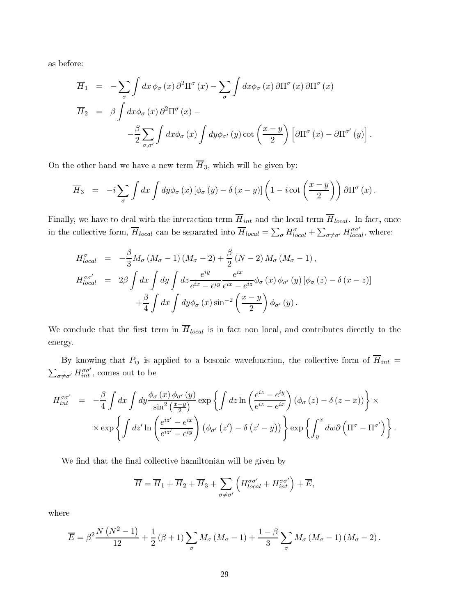as before:

$$
\overline{H}_{1} = -\sum_{\sigma} \int dx \phi_{\sigma}(x) \partial^{2} \Pi^{\sigma}(x) - \sum_{\sigma} \int dx \phi_{\sigma}(x) \partial \Pi^{\sigma}(x) \partial \Pi^{\sigma}(x)
$$

$$
\overline{H}_{2} = \beta \int dx \phi_{\sigma}(x) \partial^{2} \Pi^{\sigma}(x) -
$$

$$
-\frac{\beta}{2} \sum_{\sigma,\sigma'} \int dx \phi_{\sigma}(x) \int dy \phi_{\sigma'}(y) \cot \left(\frac{x-y}{2}\right) \left[ \partial \Pi^{\sigma}(x) - \partial \Pi^{\sigma'}(y) \right].
$$

On the other hand we have a new term  $\overline{H}_3$ , which will be given by:

$$
\overline{H}_3 = -i \sum_{\sigma} \int dx \int dy \phi_{\sigma}(x) \left[ \phi_{\sigma}(y) - \delta(x-y) \right] \left( 1 - i \cot \left( \frac{x-y}{2} \right) \right) \partial \Pi^{\sigma}(x).
$$

Finally, we have to deal with the interaction term  $\overline{H}_{int}$  and the local term  $\overline{H}_{local}$ . In fact, once in the collective form,  $\overline{H}_{local}$  can be separated into  $\overline{H}_{local} = \sum_{\sigma} H_{local}^{\sigma} + \sum_{\sigma \neq \sigma'} H_{local}^{\sigma \sigma'}$ , where:

$$
H_{local}^{\sigma} = -\frac{\beta}{3} M_{\sigma} (M_{\sigma} - 1) (M_{\sigma} - 2) + \frac{\beta}{2} (N - 2) M_{\sigma} (M_{\sigma} - 1),
$$
  
\n
$$
H_{local}^{\sigma\sigma'} = 2\beta \int dx \int dy \int dz \frac{e^{iy}}{e^{ix} - e^{iy}} \frac{e^{ix}}{e^{ix} - e^{iz}} \phi_{\sigma}(x) \phi_{\sigma'}(y) [\phi_{\sigma}(z) - \delta(x - z)]
$$
  
\n
$$
+ \frac{\beta}{4} \int dx \int dy \phi_{\sigma}(x) \sin^{-2} \left(\frac{x - y}{2}\right) \phi_{\sigma'}(y).
$$

We conclude that the first term in  $\overline{H}_{local}$  is in fact non local, and contributes directly to the energy.

By knowing that  $P_{ij}$  is applied to a bosonic wavefunction, the collective form of  $\overline{H}_{int}$  =  $\sum_{\sigma\neq\sigma'}H_{int}^{\sigma\sigma'}$ , comes out to be

$$
H_{int}^{\sigma\sigma'} = -\frac{\beta}{4} \int dx \int dy \frac{\phi_{\sigma}(x) \phi_{\sigma'}(y)}{\sin^2(\frac{x-y}{2})} \exp \left\{ \int dz \ln \left( \frac{e^{iz} - e^{iy}}{e^{iz} - e^{ix}} \right) (\phi_{\sigma}(z) - \delta(z - x)) \right\} \times \\ \times \exp \left\{ \int dz' \ln \left( \frac{e^{iz'} - e^{ix}}{e^{iz'} - e^{iy}} \right) (\phi_{\sigma'}(z') - \delta(z' - y)) \right\} \exp \left\{ \int_y^x dw \partial \left( \Pi^{\sigma} - \Pi^{\sigma'} \right) \right\}.
$$

We find that the final collective hamiltonian will be given by

$$
\overline{H} = \overline{H}_1 + \overline{H}_2 + \overline{H}_3 + \sum_{\sigma \neq \sigma'} \left( H_{local}^{\sigma \sigma'} + H_{int}^{\sigma \sigma'} \right) + \overline{E},
$$

where

$$
\overline{E} = \beta^2 \frac{N (N^2 - 1)}{12} + \frac{1}{2} (\beta + 1) \sum_{\sigma} M_{\sigma} (M_{\sigma} - 1) + \frac{1 - \beta}{3} \sum_{\sigma} M_{\sigma} (M_{\sigma} - 1) (M_{\sigma} - 2).
$$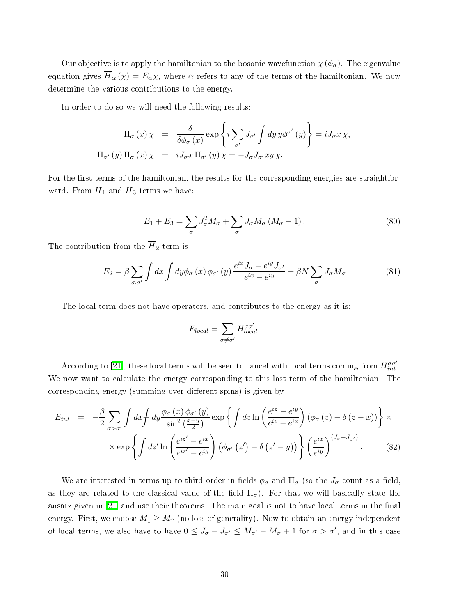Our objective is to apply the hamiltonian to the bosonic wavefunction  $\chi(\phi_{\sigma})$ . The eigenvalue equation gives  $\overline{H}_{\alpha}(\chi) = E_{\alpha}\chi$ , where  $\alpha$  refers to any of the terms of the hamiltonian. We now determine the various ontributions to the energy.

In order to do so we will need the following results:

$$
\Pi_{\sigma}(x) \chi = \frac{\delta}{\delta \phi_{\sigma}(x)} \exp \left\{ i \sum_{\sigma'} J_{\sigma'} \int dy \, y \phi^{\sigma'}(y) \right\} = i J_{\sigma} x \, \chi,
$$
  

$$
\Pi_{\sigma'}(y) \, \Pi_{\sigma}(x) \, \chi = i J_{\sigma} x \, \Pi_{\sigma'}(y) \, \chi = -J_{\sigma} J_{\sigma'} xy \, \chi.
$$

For the first terms of the hamiltonian, the results for the corresponding energies are straightforward. From  $\overline{H}_1$  and  $\overline{H}_3$  terms we have:

$$
E_1 + E_3 = \sum_{\sigma} J_{\sigma}^2 M_{\sigma} + \sum_{\sigma} J_{\sigma} M_{\sigma} (M_{\sigma} - 1).
$$
 (80)

The contribution from the  $\overline{H}_2$  term is

$$
E_2 = \beta \sum_{\sigma,\sigma'} \int dx \int dy \phi_\sigma(x) \phi_{\sigma'}(y) \frac{e^{ix} J_\sigma - e^{iy} J_{\sigma'}}{e^{ix} - e^{iy}} - \beta N \sum_\sigma J_\sigma M_\sigma \tag{81}
$$

The lo
al term does not have operators, and ontributes to the energy as it is:

$$
E_{local} = \sum_{\sigma \neq \sigma'} H^{\sigma \sigma'}_{local}.
$$

According to [21], these local terms will be seen to cancel with local terms coming from  $H_{int}^{\sigma\sigma'}$ . We now want to calculate the energy corresponding to this last term of the hamiltonian. The corresponding energy (summing over different spins) is given by

$$
E_{int} = -\frac{\beta}{2} \sum_{\sigma > \sigma'} \int dx \int dy \frac{\phi_{\sigma}(x) \phi_{\sigma'}(y)}{\sin^2(\frac{x-y}{2})} \exp \left\{ \int dz \ln \left( \frac{e^{iz} - e^{iy}}{e^{iz} - e^{ix}} \right) (\phi_{\sigma}(z) - \delta(z - x)) \right\} \times \exp \left\{ \int dz' \ln \left( \frac{e^{iz'} - e^{ix}}{e^{iz'} - e^{iy}} \right) (\phi_{\sigma'}(z') - \delta(z' - y)) \right\} \left( \frac{e^{ix}}{e^{iy}} \right)^{(J_{\sigma} - J_{\sigma'})} . \tag{82}
$$

We are interested in terms up to third order in fields  $\phi_{\sigma}$  and  $\Pi_{\sigma}$  (so the  $J_{\sigma}$  count as a field, as they are related to the classical value of the field  $\Pi_{\sigma}$ ). For that we will basically state the ansatz given in  $[21]$  and use their theorems. The main goal is not to have local terms in the final energy. First, we choose  $M_{\downarrow} \geq M_{\uparrow}$  (no loss of generality). Now to obtain an energy independent of local terms, we also have to have  $0 \leq J_{\sigma} - J_{\sigma'} \leq M_{\sigma'} - M_{\sigma} + 1$  for  $\sigma > \sigma'$ , and in this case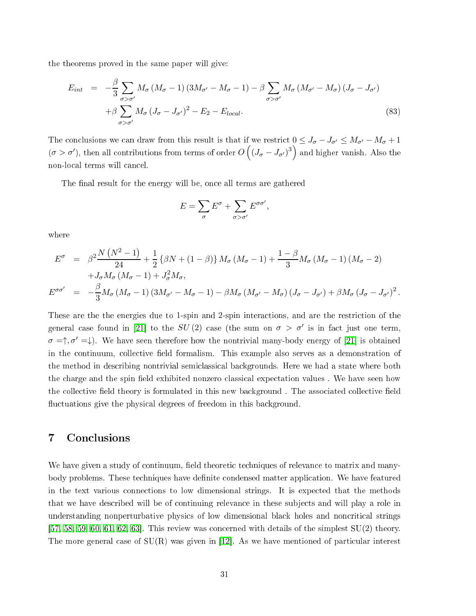the theorems proved in the same paper will give:

$$
E_{int} = -\frac{\beta}{3} \sum_{\sigma > \sigma'} M_{\sigma} (M_{\sigma} - 1) (3M_{\sigma'} - M_{\sigma} - 1) - \beta \sum_{\sigma > \sigma'} M_{\sigma} (M_{\sigma'} - M_{\sigma}) (J_{\sigma} - J_{\sigma'})
$$
  
+  $\beta \sum_{\sigma > \sigma'} M_{\sigma} (J_{\sigma} - J_{\sigma'})^2 - E_2 - E_{local}.$  (83)

The conclusions we can draw from this result is that if we restrict  $0 \leq J_{\sigma} - J_{\sigma'} \leq M_{\sigma'} - M_{\sigma} + 1$  $(\sigma > \sigma')$ , then all contributions from terms of order  $O\left((J_\sigma-J_{\sigma'})^3\right)$  and higher vanish. Also the non-lo
al terms will an
el.

The final result for the energy will be, once all terms are gathered

$$
E = \sum_{\sigma} E^{\sigma} + \sum_{\sigma > \sigma'} E^{\sigma \sigma'},
$$

where

$$
E^{\sigma} = \beta^2 \frac{N (N^2 - 1)}{24} + \frac{1}{2} {\beta N + (1 - \beta)} M_{\sigma} (M_{\sigma} - 1) + \frac{1 - \beta}{3} M_{\sigma} (M_{\sigma} - 1) (M_{\sigma} - 2)
$$
  
+ 
$$
J_{\sigma} M_{\sigma} (M_{\sigma} - 1) + J_{\sigma}^2 M_{\sigma},
$$
  

$$
E^{\sigma \sigma'} = -\frac{\beta}{3} M_{\sigma} (M_{\sigma} - 1) (3M_{\sigma'} - M_{\sigma} - 1) - \beta M_{\sigma} (M_{\sigma'} - M_{\sigma}) (J_{\sigma} - J_{\sigma'}) + \beta M_{\sigma} (J_{\sigma} - J_{\sigma'})^2.
$$

These are the the energies due to 1-spin and 2-spin interactions, and are the restriction of the general case found in [21] to the  $SU(2)$  case (the sum on  $\sigma > \sigma'$  is in fact just one term,  $\sigma = \uparrow, \sigma' = \downarrow$ ). We have seen therefore how the nontrivial many-body energy of [21] is obtained in the continuum, collective field formalism. This example also serves as a demonstration of the method in des
ribing nontrivial semi
lassi
al ba
kgrounds. Here we had a state where both the charge and the spin field exhibited nonzero classical expectation values. We have seen how the collective field theory is formulated in this new background. The associated collective field fluctuations give the physical degrees of freedom in this background.

## 7 Con
lusions

We have given a study of continuum, field theoretic techniques of relevance to matrix and manybody problems. These techniques have definite condensed matter application. We have featured in the text various onne
tions to low dimensional strings. It is expe
ted that the methods that we have described will be of continuing relevance in these subjects and will play a role in understanding nonperturbative physics of low dimensional black holes and noncritical strings  $[57, 58, 59, 60, 61, 62, 63]$  $[57, 58, 59, 60, 61, 62, 63]$  $[57, 58, 59, 60, 61, 62, 63]$  $[57, 58, 59, 60, 61, 62, 63]$  $[57, 58, 59, 60, 61, 62, 63]$  $[57, 58, 59, 60, 61, 62, 63]$  $[57, 58, 59, 60, 61, 62, 63]$  $[57, 58, 59, 60, 61, 62, 63]$  $[57, 58, 59, 60, 61, 62, 63]$  $[57, 58, 59, 60, 61, 62, 63]$  $[57, 58, 59, 60, 61, 62, 63]$  $[57, 58, 59, 60, 61, 62, 63]$ . This review was concerned with details of the simplest  $SU(2)$  theory. The more general case of  $SU(R)$  was given in [12]. As we have mentioned of particular interest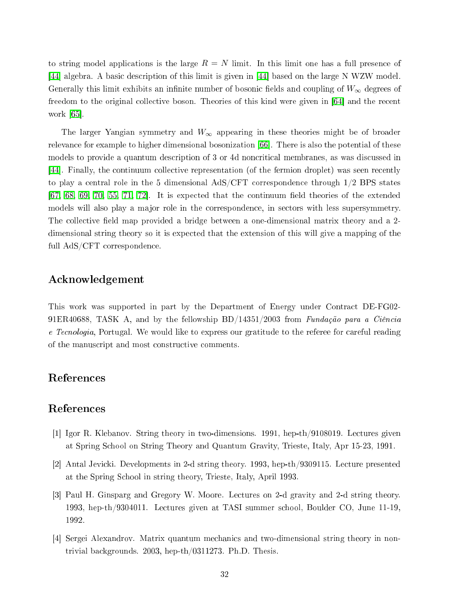to string model applications is the large  $R = N$  limit. In this limit one has a full presence of [44] algebra. A basic description of this limit is given in [44] based on the large N WZW model. Generally this limit exhibits an infinite number of bosonic fields and coupling of  $W_{\infty}$  degrees of freedom to the original collective boson. Theories of this kind were given in  $[64]$  and the recent work  $[65]$ 

The larger Yangian symmetry and  $W_{\infty}$  appearing in these theories might be of broader relevance for example to higher dimensional bosonization [66]. There is also the potential of these models to provide a quantum description of 3 or 4d noncritical membranes, as was discussed in [44]. Finally, the continuum collective representation (of the fermion droplet) was seen recently to play a central role in the 5 dimensional AdS/CFT correspondence through  $1/2$  BPS states  $[67, 68, 69, 70, 55, 71, 72]$  $[67, 68, 69, 70, 55, 71, 72]$  $[67, 68, 69, 70, 55, 71, 72]$  $[67, 68, 69, 70, 55, 71, 72]$  $[67, 68, 69, 70, 55, 71, 72]$  $[67, 68, 69, 70, 55, 71, 72]$  $[67, 68, 69, 70, 55, 71, 72]$  $[67, 68, 69, 70, 55, 71, 72]$  $[67, 68, 69, 70, 55, 71, 72]$  $[67, 68, 69, 70, 55, 71, 72]$  $[67, 68, 69, 70, 55, 71, 72]$  $[67, 68, 69, 70, 55, 71, 72]$ . It is expected that the continuum field theories of the extended models will also play a major role in the correspondence, in sectors with less supersymmetry. The collective field map provided a bridge between a one-dimensional matrix theory and a 2dimensional string theory so it is expe
ted that the extension of this will give a mapping of the full AdS/CFT orresponden
e.

## A
knowledgement

This work was supported in part by the Department of Energy under Contra
t DE-FG02- 91ER40688, TASK A, and by the fellowship  $BD/14351/2003$  from Fundação para a Ciência e Tecnologia, Portugal. We would like to express our gratitude to the referee for careful reading of the manus
ript and most onstru
tive omments.

## Referen
es

## <span id="page-31-0"></span>Referen
es

- <span id="page-31-1"></span>[1] Igor R. Klebanov. String theory in two-dimensions.  $1991$ , hep-th/9108019. Lectures given at Spring S
hool on String Theory and Quantum Gravity, Trieste, Italy, Apr 15-23, 1991.
- <span id="page-31-2"></span>[2] Antal Jevicki. Developments in 2-d string theory. 1993, hep-th/9309115. Lecture presented at the Spring S
hool in string theory, Trieste, Italy, April 1993.
- [3] Paul H. Ginsparg and Gregory W. Moore. Lectures on 2-d gravity and 2-d string theory. 1993, hep-th/9304011. Le
tures given at TASI summer s
hool, Boulder CO, June 11-19, 1992.
- <span id="page-31-3"></span>[4] Sergei Alexandrov. Matrix quantum mechanics and two-dimensional string theory in nontrivial ba
kgrounds. 2003, hep-th/0311273. Ph.D. Thesis.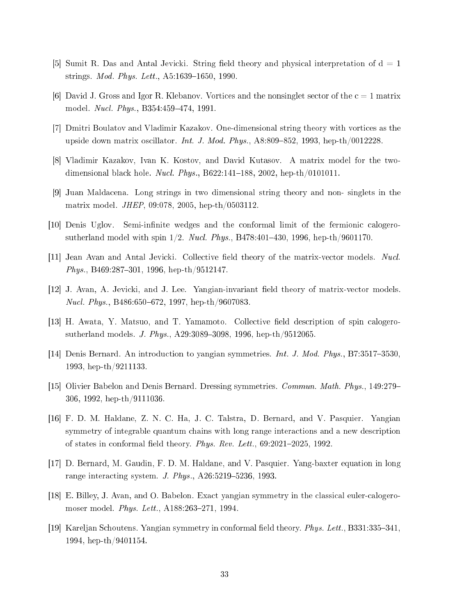- <span id="page-32-1"></span><span id="page-32-0"></span>[5] Sumit R. Das and Antal Jevicki. String field theory and physical interpretation of  $d = 1$ strings. Mod. Phys. Lett., A5:1639-1650, 1990.
- <span id="page-32-2"></span> $|6|$  David J. Gross and Igor R. Klebanov. Vortices and the nonsinglet sector of the  $c=1$  matrix model. *Nucl. Phys.*, B354:459-474, 1991.
- <span id="page-32-3"></span>[7] Dmitri Boulatov and Vladimir Kazakov. One-dimensional string theory with vortices as the upside down matrix oscillator. *Int. J. Mod. Phys.*, A8:809-852, 1993, hep-th/0012228.
- <span id="page-32-4"></span>[8] Vladimir Kazakov, Ivan K. Kostov, and David Kutasov. A matrix model for the twodimensional black hole. Nucl. Phys., B622:141-188, 2002, hep-th/0101011.
- [9] Juan Maldacena. Long strings in two dimensional string theory and non- singlets in the matrix model. JHEP, 09:078, 2005, hep-th/0503112.
- <span id="page-32-6"></span><span id="page-32-5"></span>[10] Denis Uglov. Semi-infinite wedges and the conformal limit of the fermionic calogerosutherland model with spin  $1/2$ . *Nucl. Phys.*, B478:401-430, 1996, hep-th/9601170.
- <span id="page-32-7"></span>[11] Jean Avan and Antal Jevicki. Collective field theory of the matrix-vector models. Nucl. Phys., B469:287-301, 1996, hep-th/9512147.
- <span id="page-32-8"></span>[12] J. Avan, A. Jevicki, and J. Lee. Yangian-invariant field theory of matrix-vector models. *Nucl. Phys.*, B486:650–672, 1997, hep-th/9607083.
- <span id="page-32-9"></span>[13] H. Awata, Y. Matsuo, and T. Yamamoto. Collective field description of spin calogerosutherland models. J. Phys., A29:3089-3098, 1996, hep-th/9512065.
- <span id="page-32-10"></span>[14] Denis Bernard. An introduction to yangian symmetries. Int. J. Mod. Phys., B7:3517-3530, 1993, hep-th/9211133.
- <span id="page-32-11"></span>[15] Olivier Babelon and Denis Bernard. Dressing symmetries. *Commun. Math. Phys.*, 149:279– 306, 1992, hep-th/9111036.
- [16] F. D. M. Haldane, Z. N. C. Ha, J. C. Talstra, D. Bernard, and V. Pasquier. Yangian symmetry of integrable quantum chains with long range interactions and a new description of states in conformal field theory. Phys. Rev. Lett.,  $69:2021-2025$ ,  $1992$ .
- <span id="page-32-13"></span><span id="page-32-12"></span>[17] D. Bernard, M. Gaudin, F. D. M. Haldane, and V. Pasquier. Yang-baxter equation in long range interacting system. J. Phys.,  $A26:5219-5236$ , 1993.
- <span id="page-32-14"></span>[18] E. Billey, J. Avan, and O. Babelon. Exact yangian symmetry in the classical euler-calogeromoser model. Phys. Lett., A188:263-271, 1994.
- [19] Kareljan Schoutens. Yangian symmetry in conformal field theory. *Phys. Lett.*, B331:335–341, 1994, hep-th/9401154.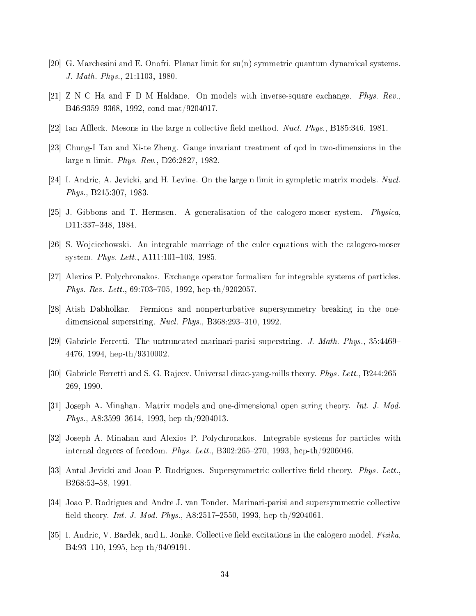- <span id="page-33-1"></span><span id="page-33-0"></span>[20] G. Marchesini and E. Onofri. Planar limit for  $su(n)$  symmetric quantum dynamical systems. J. Math. Phys., 21:1103, 1980.
- <span id="page-33-2"></span> $[21]$  Z N C Ha and F D M Haldane. On models with inverse-square exchange. Phys. Rev. B46:9359-9368, 1992, cond-mat/9204017.
- <span id="page-33-3"></span>[22] Ian Affleck. Mesons in the large n collective field method. Nucl. Phys., B185:346, 1981.
- <span id="page-33-4"></span>[23] Chung-I Tan and Xi-te Zheng. Gauge invariant treatment of qcd in two-dimensions in the large n limit. Phys. Rev., D26:2827, 1982.
- <span id="page-33-5"></span>[24] I. Andric, A. Jevicki, and H. Levine. On the large n limit in sympletic matrix models. Nucl. Phys., B215:307, 1983.
- <span id="page-33-6"></span>[25] J. Gibbons and T. Hermsen. A generalisation of the calogero-moser system. *Physica*. D11:337-348, 1984.
- <span id="page-33-7"></span>[26] S. Wojciechowski. An integrable marriage of the euler equations with the calogero-moser system. Phys. Lett., A111:101-103, 1985.
- <span id="page-33-8"></span>[27] Alexios P. Polychronakos. Exchange operator formalism for integrable systems of particles. *Phys. Rev. Lett.*,  $69:703-705$ ,  $1992$ , hep-th/9202057.
- <span id="page-33-9"></span>[28] Atish Dabholkar. Fermions and nonperturbative supersymmetry breaking in the onedimensional superstring. Nucl. Phys.,  $B368:293-310$ , 1992.
- <span id="page-33-10"></span>[29] Gabriele Ferretti. The untruncated marinari-parisi superstring. J. Math. Phys.,  $35:4469-$ 4476, 1994, hep-th/9310002.
- <span id="page-33-11"></span>[30] Gabriele Ferretti and S. G. Rajeev. Universal dirac-yang-mills theory. *Phys. Lett.*, B244:265– 269, 1990.
- <span id="page-33-12"></span>[31] Joseph A. Minahan. Matrix models and one-dimensional open string theory. Int. J. Mod. Phys., A8:3599-3614, 1993, hep-th/9204013.
- <span id="page-33-13"></span>[32] Joseph A. Minahan and Alexios P. Polychronakos. Integrable systems for particles with internal degrees of freedom. Phys. Lett., B302:265-270, 1993, hep-th/9206046.
- <span id="page-33-14"></span>[33] Antal Jevicki and Joao P. Rodrigues. Supersymmetric collective field theory. Phys. Lett., B268:53-58, 1991.
- <span id="page-33-15"></span>[34] Joao P. Rodrigues and Andre J. van Tonder. Marinari-parisi and supersymmetric collective field theory. Int. J. Mod. Phys.,  $A8:2517-2550$ , 1993, hep-th/9204061.
- [35] I. Andric, V. Bardek, and L. Jonke. Collective field excitations in the calogero model. *Fizika*. B4:93-110, 1995, hep-th/9409191.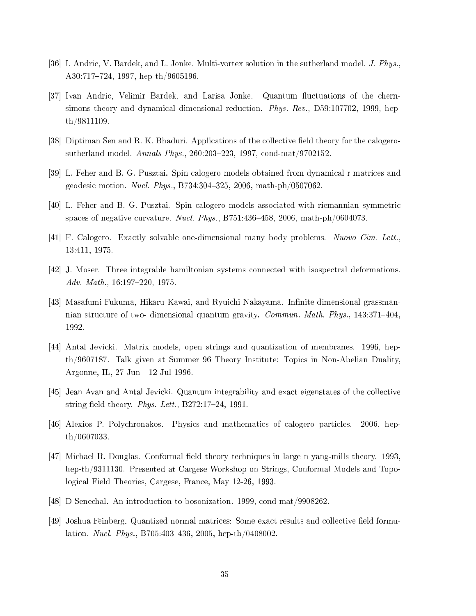- <span id="page-34-1"></span><span id="page-34-0"></span>[36] I. Andric, V. Bardek, and L. Jonke. Multi-vortex solution in the sutherland model. J. Phys., A30:717-724, 1997, hep-th/9605196.
- [37] Ivan Andric, Velimir Bardek, and Larisa Jonke. Quantum fluctuations of the chernsimons theory and dynamical dimensional reduction. *Phys. Rev.*, D59:107702, 1999, hepth/9811109.
- <span id="page-34-3"></span><span id="page-34-2"></span>[38] Diptiman Sen and R. K. Bhaduri. Applications of the collective field theory for the calogerosutherland model. Annals Phys., 260:203-223, 1997, cond-mat/9702152.
- <span id="page-34-4"></span>[39] L. Feher and B. G. Pusztai. Spin calogero models obtained from dynamical r-matrices and geodesic motion. *Nucl. Phys.*, B734:304-325, 2006, math-ph/0507062.
- <span id="page-34-5"></span>[40] L. Feher and B. G. Pusztai. Spin calogero models associated with riemannian symmetric spaces of negative curvature. Nucl. Phys., B751:436-458, 2006, math-ph/0604073.
- <span id="page-34-6"></span>[41] F. Calogero. Exactly solvable one-dimensional many body problems. Nuovo Cim. Lett. 13:411, 1975.
- <span id="page-34-7"></span>[42] J. Moser. Three integrable hamiltonian systems connected with isospectral deformations. Adv. Math.,  $16:197-220$ ,  $1975$ .
- [43] Masafumi Fukuma, Hikaru Kawai, and Ryuichi Nakayama. Infinite dimensional grassmannian structure of two- dimensional quantum gravity. Commun. Math. Phys., 143:371-404, 1992.
- <span id="page-34-8"></span>[44] Antal Jevicki. Matrix models, open strings and quantization of membranes. 1996, hepth/9607187. Talk given at Summer 96 Theory Institute: Topi
s in Non-Abelian Duality, Argonne, IL, 27 Jun - 12 Jul 1996.
- <span id="page-34-10"></span><span id="page-34-9"></span>[45] Jean Avan and Antal Jevicki. Quantum integrability and exact eigenstates of the collective string field theory. Phys. Lett.,  $B272:17-24$ , 1991.
- <span id="page-34-11"></span>[46] Alexios P. Polychronakos. Physics and mathematics of calogero particles. 2006, hepth/0607033.
- [47] Michael R. Douglas. Conformal field theory techniques in large n yang-mills theory. 1993, hep-th/9311130. Presented at Cargese Workshop on Strings, Conformal Models and Topologi
al Field Theories, Cargese, Fran
e, May 12-26, 1993.
- <span id="page-34-13"></span><span id="page-34-12"></span>[48] D Senechal. An introduction to bosonization. 1999, cond-mat/9908262.
- [49] Joshua Feinberg. Quantized normal matrices: Some exact results and collective field formulation. *Nucl. Phys.*, B705:403-436, 2005, hep-th/0408002.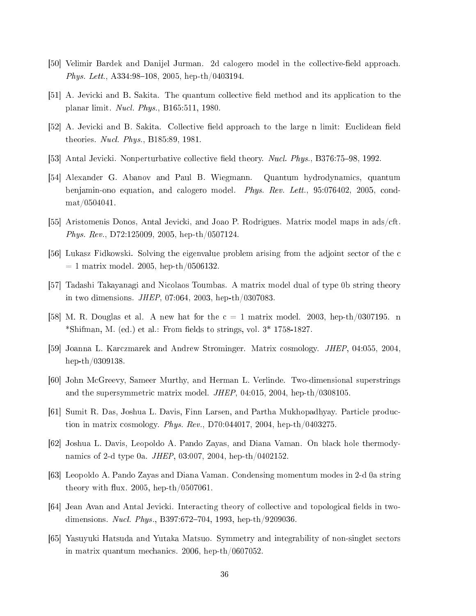- <span id="page-35-1"></span><span id="page-35-0"></span>[50] Velimir Bardek and Danijel Jurman. 2d calogero model in the collective-field approach. Phys. Lett., A334:98-108, 2005, hep-th/0403194.
- <span id="page-35-2"></span>[51] A. Jevicki and B. Sakita. The quantum collective field method and its application to the planar limit. Nu
l. Phys., B165:511, 1980.
- <span id="page-35-3"></span>[52] A. Jevicki and B. Sakita. Collective field approach to the large n limit: Euclidean field theories. Nu
l. Phys., B185:89, 1981.
- <span id="page-35-4"></span>[53] Antal Jevicki. Nonperturbative collective field theory. Nucl. Phys., B376:75-98, 1992.
- [54] Alexander G. Abanov and Paul B. Wiegmann. Quantum hydrodynamics, quantum benjamin-ono equation, and calogero model. *Phys. Rev. Lett.*, 95:076402, 2005, condmat/0504041.
- <span id="page-35-6"></span><span id="page-35-5"></span>[55] Aristomenis Donos, Antal Jevicki, and Joao P. Rodrigues. Matrix model maps in ads/cft. Phys. Rev., D72:125009, 2005, hep-th/0507124.
- <span id="page-35-7"></span>[56] Lukasz Fidkowski. Solving the eigenvalue problem arising from the adjoint sector of the c  $= 1$  matrix model. 2005, hep-th/0506132.
- <span id="page-35-8"></span>[57] Tadashi Takayanagi and Nicolaos Toumbas. A matrix model dual of type 0b string theory in two dimensions. JHEP, 07:064, 2003, hep-th/0307083.
- <span id="page-35-9"></span>[58] M. R. Douglas et al. A new hat for the  $c = 1$  matrix model. 2003, hep-th/0307195. n \*Shifman, M. (ed.) et al.: From fields to strings, vol.  $3*$  1758-1827.
- <span id="page-35-10"></span>[59] Joanna L. Karczmarek and Andrew Strominger. Matrix cosmology. *JHEP*, 04:055, 2004. hep-th/0309138.
- <span id="page-35-11"></span>[60] John McGreevy, Sameer Murthy, and Herman L. Verlinde. Two-dimensional superstrings and the supersymmetri matrix model. JHEP, 04:015, 2004, hep-th/0308105.
- <span id="page-35-12"></span>[61] Sumit R. Das, Joshua L. Davis, Finn Larsen, and Partha Mukhopadhyay. Particle production in matrix osmology. Phys. Rev., D70:044017, 2004, hep-th/0403275.
- <span id="page-35-13"></span>[62] Joshua L. Davis, Leopoldo A. Pando Zayas, and Diana Vaman. On black hole thermodynami
s of 2-d type 0a. JHEP, 03:007, 2004, hep-th/0402152.
- <span id="page-35-14"></span>[63] Leopoldo A. Pando Zayas and Diana Vaman. Condensing momentum modes in 2-d 0a string theory with flux. 2005, hep-th/0507061.
- <span id="page-35-15"></span>[64] Jean Avan and Antal Jevicki. Interacting theory of collective and topological fields in twodimensions. *Nucl. Phys.*, B397:672-704, 1993, hep-th/9209036
- [65] Yasuyuki Hatsuda and Yutaka Matsuo. Symmetry and integrability of non-singlet sectors in matrix quantum me
hani
s. 2006, hep-th/0607052.